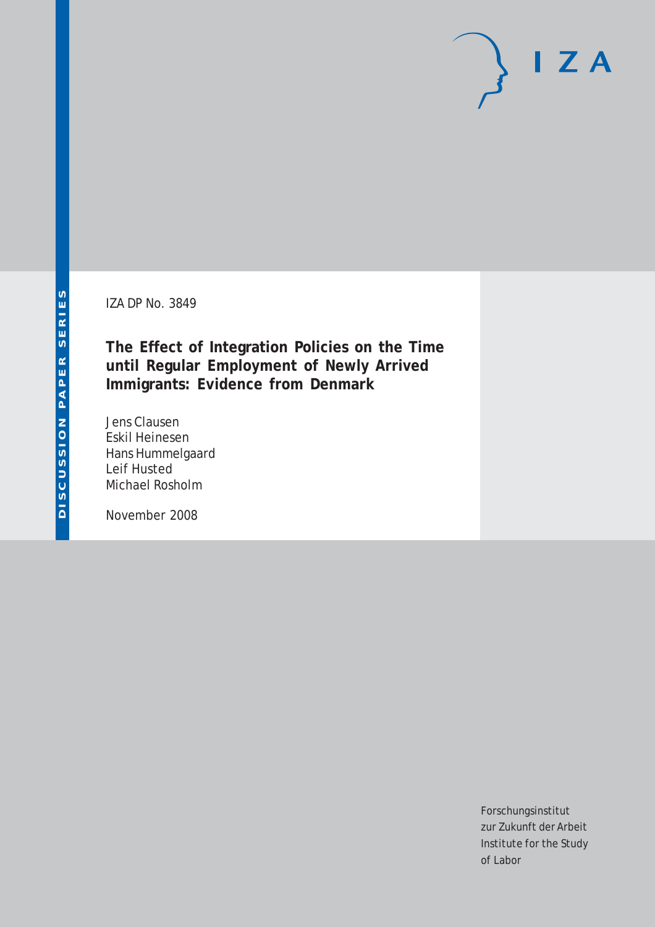IZA DP No. 3849

**The Effect of Integration Policies on the Time until Regular Employment of Newly Arrived Immigrants: Evidence from Denmark**

Jens Clausen Eskil Heinesen Hans Hummelgaard Leif Husted Michael Rosholm

November 2008

Forschungsinstitut zur Zukunft der Arbeit Institute for the Study of Labor

 $I Z A$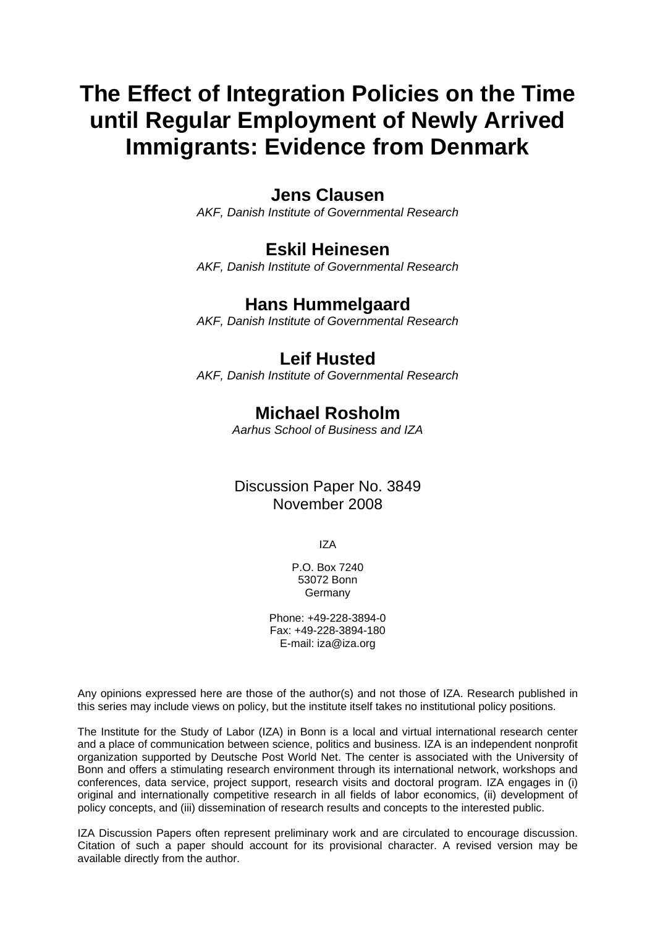# **The Effect of Integration Policies on the Time until Regular Employment of Newly Arrived Immigrants: Evidence from Denmark**

## **Jens Clausen**

*AKF, Danish Institute of Governmental Research* 

## **Eskil Heinesen**

*AKF, Danish Institute of Governmental Research* 

## **Hans Hummelgaard**

*AKF, Danish Institute of Governmental Research*

## **Leif Husted**

*AKF, Danish Institute of Governmental Research*

## **Michael Rosholm**

*Aarhus School of Business and IZA* 

## Discussion Paper No. 3849 November 2008

IZA

P.O. Box 7240 53072 Bonn Germany

Phone: +49-228-3894-0 Fax: +49-228-3894-180 E-mail: [iza@iza.org](mailto:iza@iza.org)

Any opinions expressed here are those of the author(s) and not those of IZA. Research published in this series may include views on policy, but the institute itself takes no institutional policy positions.

The Institute for the Study of Labor (IZA) in Bonn is a local and virtual international research center and a place of communication between science, politics and business. IZA is an independent nonprofit organization supported by Deutsche Post World Net. The center is associated with the University of Bonn and offers a stimulating research environment through its international network, workshops and conferences, data service, project support, research visits and doctoral program. IZA engages in (i) original and internationally competitive research in all fields of labor economics, (ii) development of policy concepts, and (iii) dissemination of research results and concepts to the interested public.

IZA Discussion Papers often represent preliminary work and are circulated to encourage discussion. Citation of such a paper should account for its provisional character. A revised version may be available directly from the author.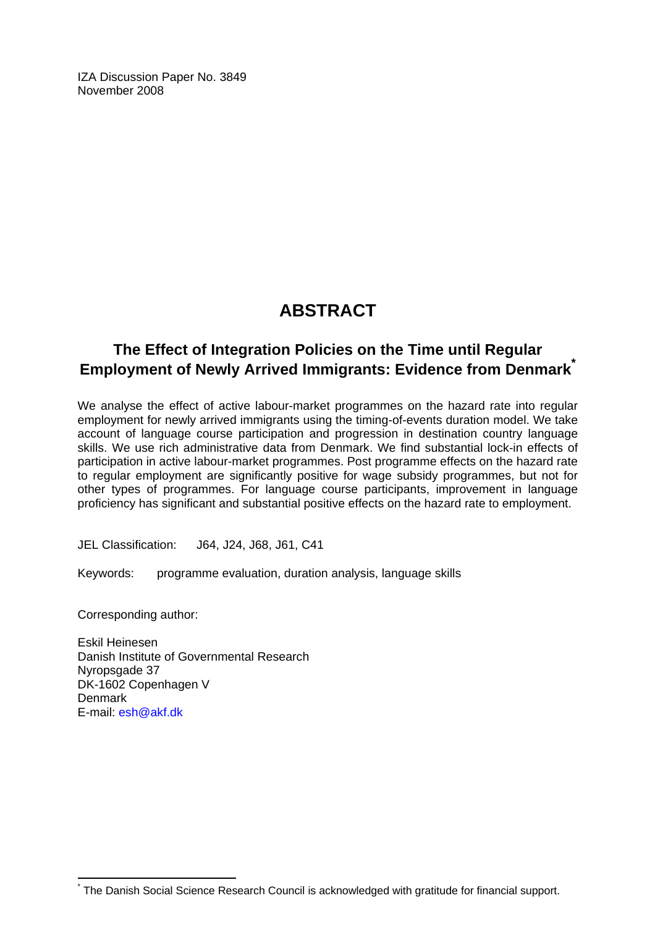IZA Discussion Paper No. 3849 November 2008

# **ABSTRACT**

## **The Effect of Integration Policies on the Time until Regular Employment of Newly Arrived Immigrants: Evidence from Denmark[\\*](#page-2-0)**

We analyse the effect of active labour-market programmes on the hazard rate into regular employment for newly arrived immigrants using the timing-of-events duration model. We take account of language course participation and progression in destination country language skills. We use rich administrative data from Denmark. We find substantial lock-in effects of participation in active labour-market programmes. Post programme effects on the hazard rate to regular employment are significantly positive for wage subsidy programmes, but not for other types of programmes. For language course participants, improvement in language proficiency has significant and substantial positive effects on the hazard rate to employment.

JEL Classification: J64, J24, J68, J61, C41

Keywords: programme evaluation, duration analysis, language skills

Corresponding author:

 $\overline{a}$ \*

Eskil Heinesen Danish Institute of Governmental Research Nyropsgade 37 DK-1602 Copenhagen V **Denmark** E-mail: [esh@akf.dk](mailto:esh@akf.dk)

<span id="page-2-0"></span>The Danish Social Science Research Council is acknowledged with gratitude for financial support.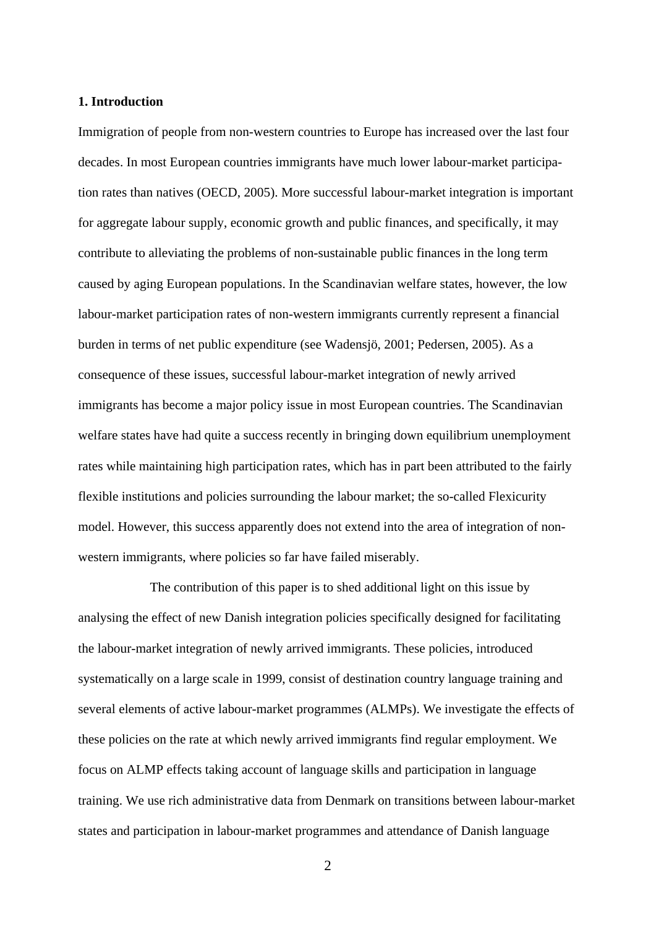#### **1. Introduction**

Immigration of people from non-western countries to Europe has increased over the last four decades. In most European countries immigrants have much lower labour-market participation rates than natives (OECD, 2005). More successful labour-market integration is important for aggregate labour supply, economic growth and public finances, and specifically, it may contribute to alleviating the problems of non-sustainable public finances in the long term caused by aging European populations. In the Scandinavian welfare states, however, the low labour-market participation rates of non-western immigrants currently represent a financial burden in terms of net public expenditure (see Wadensjö, 2001; Pedersen, 2005). As a consequence of these issues, successful labour-market integration of newly arrived immigrants has become a major policy issue in most European countries. The Scandinavian welfare states have had quite a success recently in bringing down equilibrium unemployment rates while maintaining high participation rates, which has in part been attributed to the fairly flexible institutions and policies surrounding the labour market; the so-called Flexicurity model. However, this success apparently does not extend into the area of integration of nonwestern immigrants, where policies so far have failed miserably.

 The contribution of this paper is to shed additional light on this issue by analysing the effect of new Danish integration policies specifically designed for facilitating the labour-market integration of newly arrived immigrants. These policies, introduced systematically on a large scale in 1999, consist of destination country language training and several elements of active labour-market programmes (ALMPs). We investigate the effects of these policies on the rate at which newly arrived immigrants find regular employment. We focus on ALMP effects taking account of language skills and participation in language training. We use rich administrative data from Denmark on transitions between labour-market states and participation in labour-market programmes and attendance of Danish language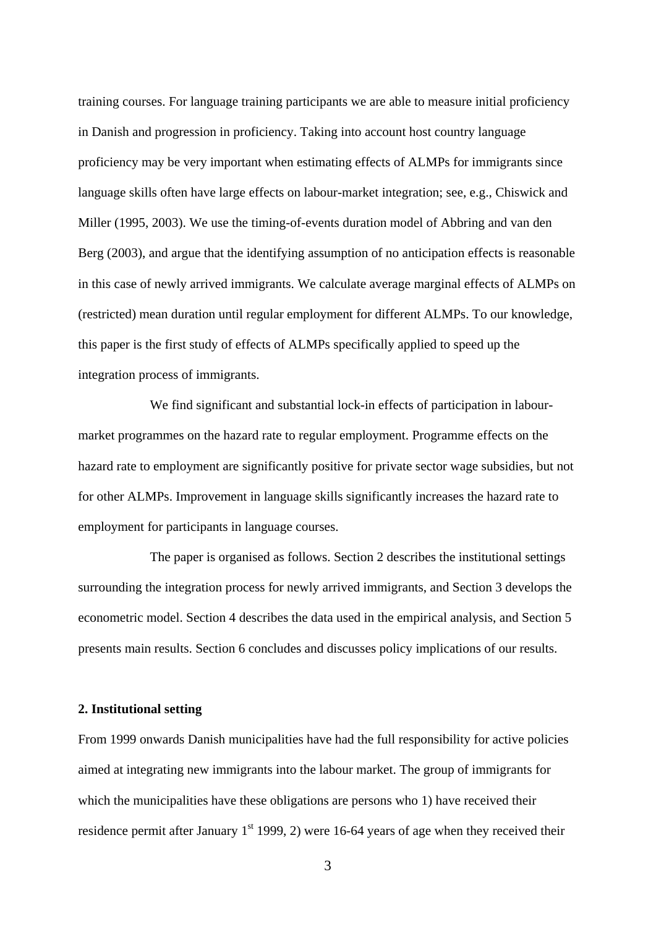training courses. For language training participants we are able to measure initial proficiency in Danish and progression in proficiency. Taking into account host country language proficiency may be very important when estimating effects of ALMPs for immigrants since language skills often have large effects on labour-market integration; see, e.g., Chiswick and Miller (1995, 2003). We use the timing-of-events duration model of Abbring and van den Berg (2003), and argue that the identifying assumption of no anticipation effects is reasonable in this case of newly arrived immigrants. We calculate average marginal effects of ALMPs on (restricted) mean duration until regular employment for different ALMPs. To our knowledge, this paper is the first study of effects of ALMPs specifically applied to speed up the integration process of immigrants.

We find significant and substantial lock-in effects of participation in labourmarket programmes on the hazard rate to regular employment. Programme effects on the hazard rate to employment are significantly positive for private sector wage subsidies, but not for other ALMPs. Improvement in language skills significantly increases the hazard rate to employment for participants in language courses.

 The paper is organised as follows. Section 2 describes the institutional settings surrounding the integration process for newly arrived immigrants, and Section 3 develops the econometric model. Section 4 describes the data used in the empirical analysis, and Section 5 presents main results. Section 6 concludes and discusses policy implications of our results.

#### **2. Institutional setting**

From 1999 onwards Danish municipalities have had the full responsibility for active policies aimed at integrating new immigrants into the labour market. The group of immigrants for which the municipalities have these obligations are persons who 1) have received their residence permit after January  $1<sup>st</sup>$  1999, 2) were 16-64 years of age when they received their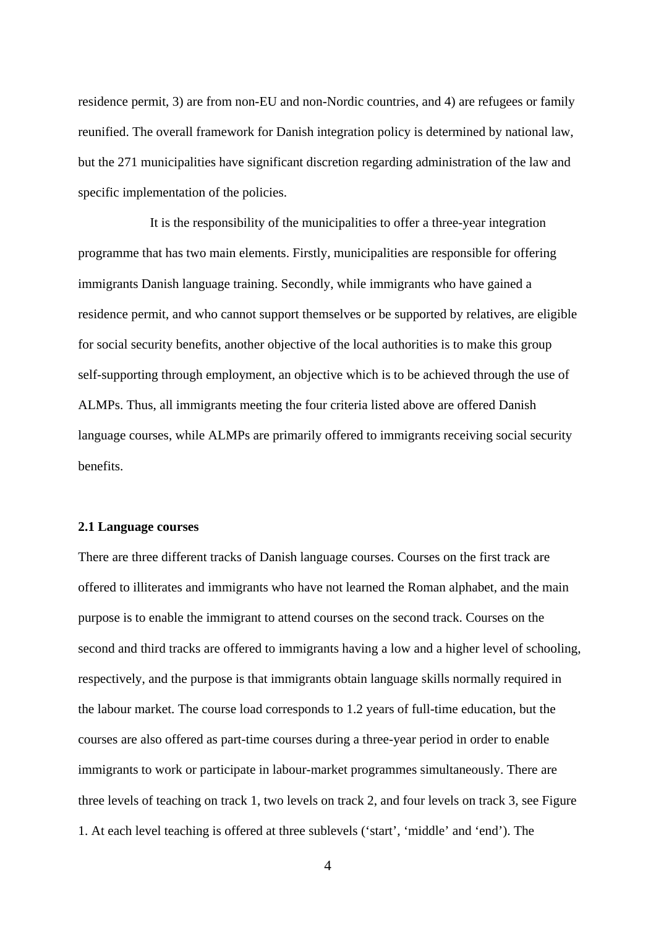residence permit, 3) are from non-EU and non-Nordic countries, and 4) are refugees or family reunified. The overall framework for Danish integration policy is determined by national law, but the 271 municipalities have significant discretion regarding administration of the law and specific implementation of the policies.

It is the responsibility of the municipalities to offer a three-year integration programme that has two main elements. Firstly, municipalities are responsible for offering immigrants Danish language training. Secondly, while immigrants who have gained a residence permit, and who cannot support themselves or be supported by relatives, are eligible for social security benefits, another objective of the local authorities is to make this group self-supporting through employment, an objective which is to be achieved through the use of ALMPs. Thus, all immigrants meeting the four criteria listed above are offered Danish language courses, while ALMPs are primarily offered to immigrants receiving social security benefits.

#### **2.1 Language courses**

There are three different tracks of Danish language courses. Courses on the first track are offered to illiterates and immigrants who have not learned the Roman alphabet, and the main purpose is to enable the immigrant to attend courses on the second track. Courses on the second and third tracks are offered to immigrants having a low and a higher level of schooling, respectively, and the purpose is that immigrants obtain language skills normally required in the labour market. The course load corresponds to 1.2 years of full-time education, but the courses are also offered as part-time courses during a three-year period in order to enable immigrants to work or participate in labour-market programmes simultaneously. There are three levels of teaching on track 1, two levels on track 2, and four levels on track 3, see Figure 1. At each level teaching is offered at three sublevels ('start', 'middle' and 'end'). The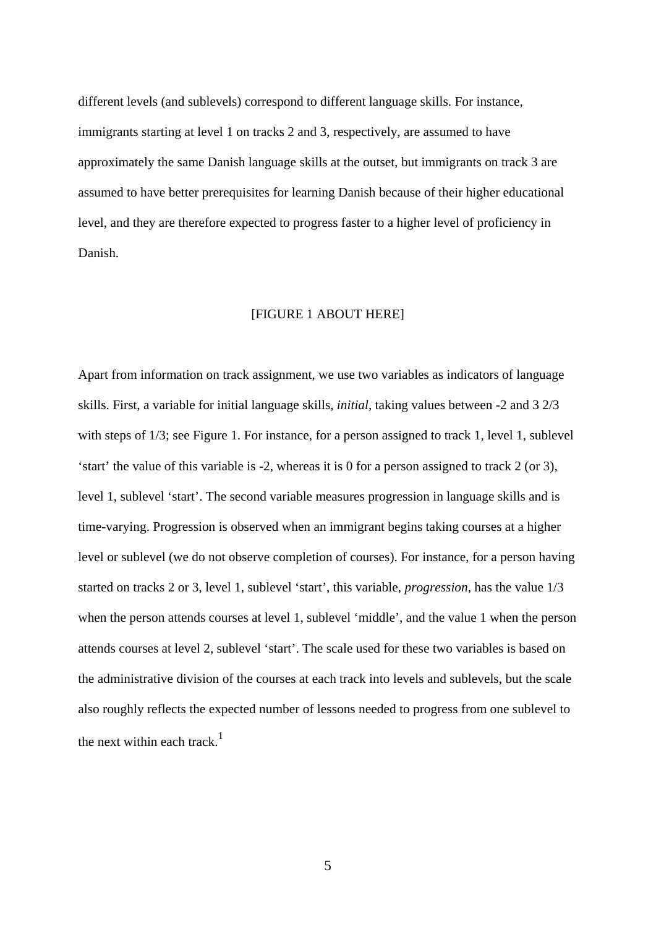different levels (and sublevels) correspond to different language skills. For instance, immigrants starting at level 1 on tracks 2 and 3, respectively, are assumed to have approximately the same Danish language skills at the outset, but immigrants on track 3 are assumed to have better prerequisites for learning Danish because of their higher educational level, and they are therefore expected to progress faster to a higher level of proficiency in Danish.

#### [FIGURE 1 ABOUT HERE]

Apart from information on track assignment, we use two variables as indicators of language skills. First, a variable for initial language skills, *initial*, taking values between -2 and 3 2/3 with steps of  $1/3$ ; see Figure 1. For instance, for a person assigned to track 1, level 1, sublevel 'start' the value of this variable is -2, whereas it is 0 for a person assigned to track 2 (or 3), level 1, sublevel 'start'. The second variable measures progression in language skills and is time-varying. Progression is observed when an immigrant begins taking courses at a higher level or sublevel (we do not observe completion of courses). For instance, for a person having started on tracks 2 or 3, level 1, sublevel 'start', this variable, *progression*, has the value 1/3 when the person attends courses at level 1, sublevel 'middle', and the value 1 when the person attends courses at level 2, sublevel 'start'. The scale used for these two variables is based on the administrative division of the courses at each track into levels and sublevels, but the scale also roughly reflects the expected number of lessons needed to progress from one sublevel to the next within each track. $<sup>1</sup>$ </sup>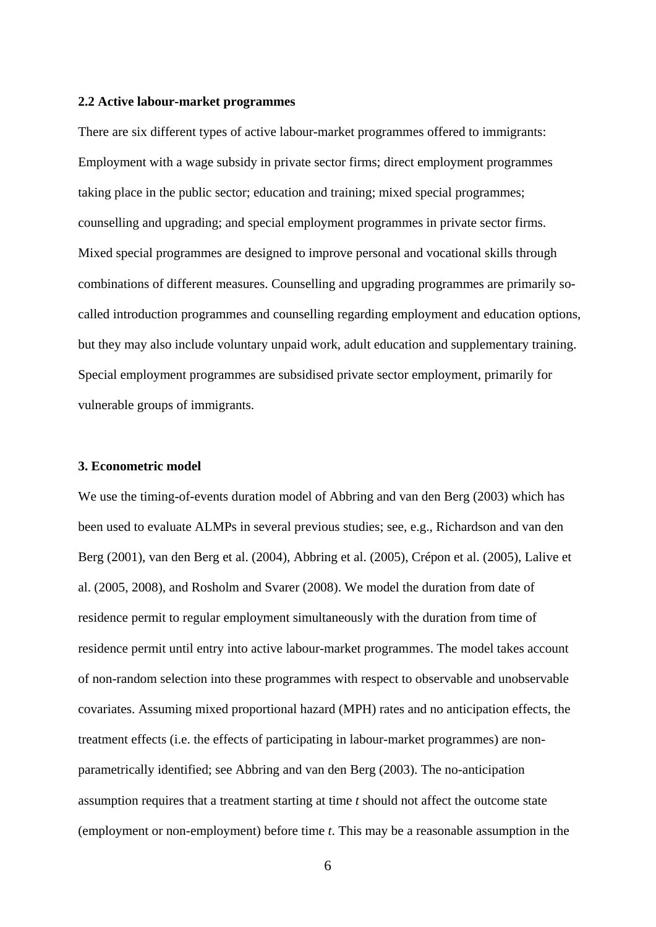#### **2.2 Active labour-market programmes**

There are six different types of active labour-market programmes offered to immigrants: Employment with a wage subsidy in private sector firms; direct employment programmes taking place in the public sector; education and training; mixed special programmes; counselling and upgrading; and special employment programmes in private sector firms. Mixed special programmes are designed to improve personal and vocational skills through combinations of different measures. Counselling and upgrading programmes are primarily socalled introduction programmes and counselling regarding employment and education options, but they may also include voluntary unpaid work, adult education and supplementary training. Special employment programmes are subsidised private sector employment, primarily for vulnerable groups of immigrants.

#### **3. Econometric model**

We use the timing-of-events duration model of Abbring and van den Berg (2003) which has been used to evaluate ALMPs in several previous studies; see, e.g., Richardson and van den Berg (2001), van den Berg et al. (2004), Abbring et al. (2005), Crépon et al. (2005), Lalive et al. (2005, 2008), and Rosholm and Svarer (2008). We model the duration from date of residence permit to regular employment simultaneously with the duration from time of residence permit until entry into active labour-market programmes. The model takes account of non-random selection into these programmes with respect to observable and unobservable covariates. Assuming mixed proportional hazard (MPH) rates and no anticipation effects, the treatment effects (i.e. the effects of participating in labour-market programmes) are nonparametrically identified; see Abbring and van den Berg (2003). The no-anticipation assumption requires that a treatment starting at time *t* should not affect the outcome state (employment or non-employment) before time *t*. This may be a reasonable assumption in the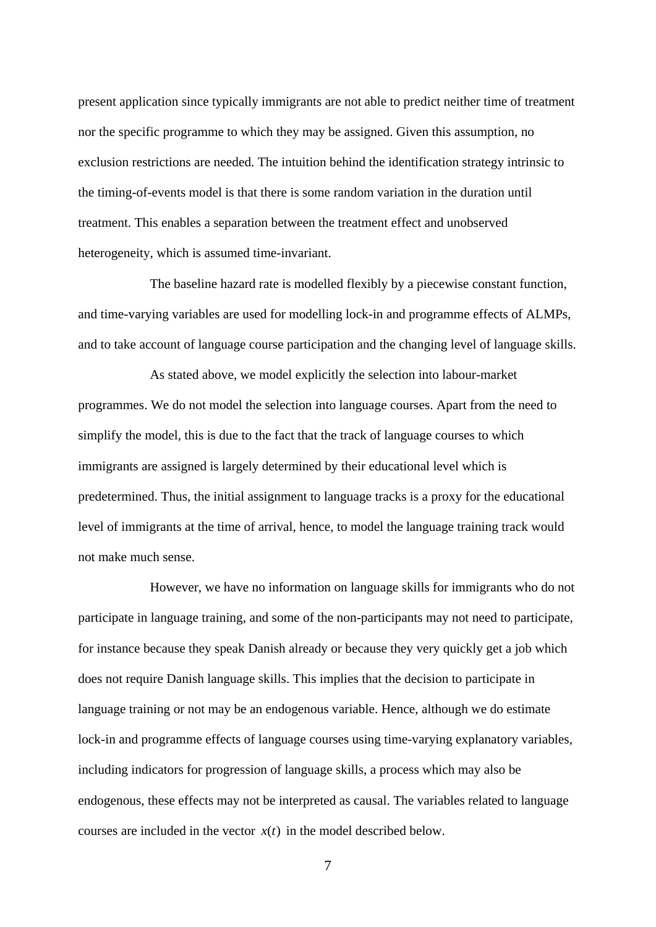present application since typically immigrants are not able to predict neither time of treatment nor the specific programme to which they may be assigned. Given this assumption, no exclusion restrictions are needed. The intuition behind the identification strategy intrinsic to the timing-of-events model is that there is some random variation in the duration until treatment. This enables a separation between the treatment effect and unobserved heterogeneity, which is assumed time-invariant.

 The baseline hazard rate is modelled flexibly by a piecewise constant function, and time-varying variables are used for modelling lock-in and programme effects of ALMPs, and to take account of language course participation and the changing level of language skills.

 As stated above, we model explicitly the selection into labour-market programmes. We do not model the selection into language courses. Apart from the need to simplify the model, this is due to the fact that the track of language courses to which immigrants are assigned is largely determined by their educational level which is predetermined. Thus, the initial assignment to language tracks is a proxy for the educational level of immigrants at the time of arrival, hence, to model the language training track would not make much sense.

However, we have no information on language skills for immigrants who do not participate in language training, and some of the non-participants may not need to participate, for instance because they speak Danish already or because they very quickly get a job which does not require Danish language skills. This implies that the decision to participate in language training or not may be an endogenous variable. Hence, although we do estimate lock-in and programme effects of language courses using time-varying explanatory variables, including indicators for progression of language skills, a process which may also be endogenous, these effects may not be interpreted as causal. The variables related to language courses are included in the vector  $x(t)$  in the model described below.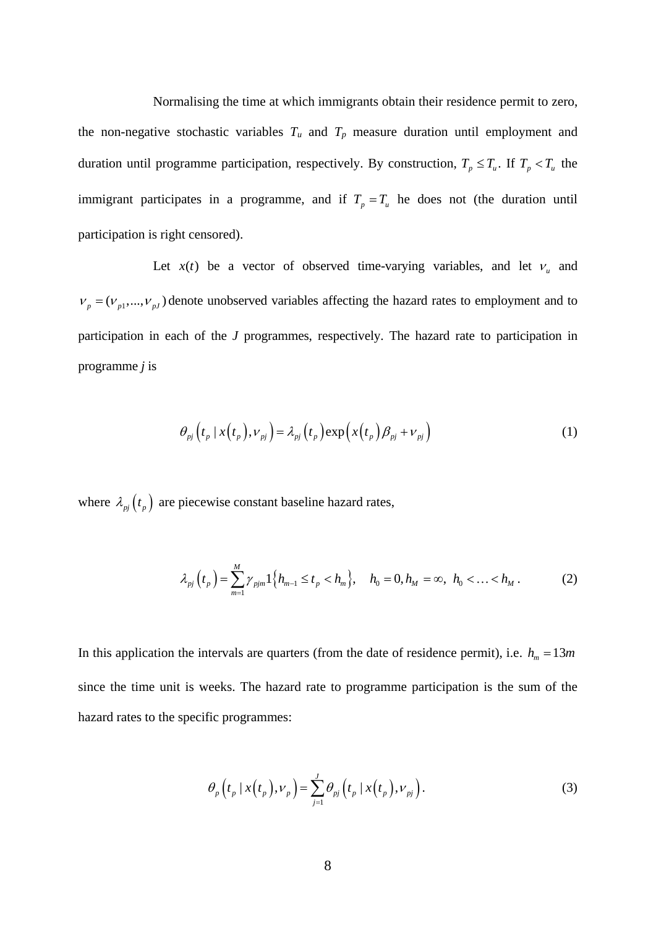Normalising the time at which immigrants obtain their residence permit to zero, the non-negative stochastic variables  $T_u$  and  $T_p$  measure duration until employment and duration until programme participation, respectively. By construction,  $T_p \leq T_u$ . If  $T_p < T_u$  the immigrant participates in a programme, and if  $T_p = T_u$  he does not (the duration until participation is right censored).

Let  $x(t)$  be a vector of observed time-varying variables, and let  $v_u$  and  $V_p = (V_{p1},..., V_{pJ})$  denote unobserved variables affecting the hazard rates to employment and to participation in each of the *J* programmes, respectively. The hazard rate to participation in programme *j* is

$$
\theta_{pj}\left(t_p \mid x(t_p), v_{pj}\right) = \lambda_{pj}\left(t_p\right) \exp\left(x(t_p)\beta_{pj} + v_{pj}\right) \tag{1}
$$

where  $\lambda_{pi}(t_p)$  are piecewise constant baseline hazard rates,

$$
\lambda_{pj}\left(t_{p}\right) = \sum_{m=1}^{M} \gamma_{pjm} 1\left\{h_{m-1} \leq t_{p} < h_{m}\right\}, \quad h_{0} = 0, h_{M} = \infty, \ h_{0} < \ldots < h_{M} \,. \tag{2}
$$

In this application the intervals are quarters (from the date of residence permit), i.e.  $h_m = 13m$ since the time unit is weeks. The hazard rate to programme participation is the sum of the hazard rates to the specific programmes:

$$
\theta_p\left(t_p \mid x(t_p), v_p\right) = \sum_{j=1}^J \theta_{pj}\left(t_p \mid x(t_p), v_{pj}\right). \tag{3}
$$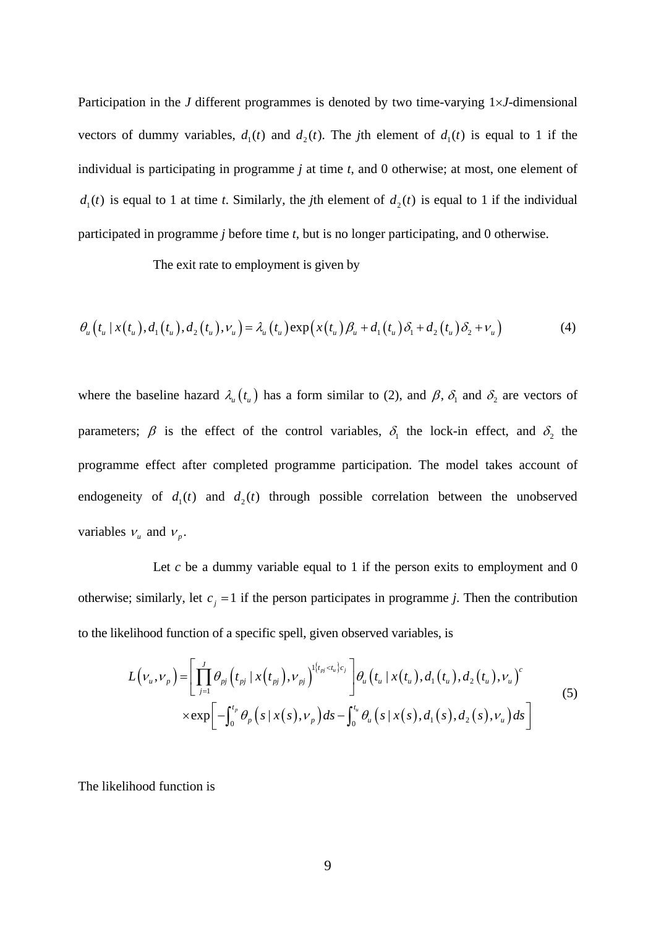Participation in the *J* different programmes is denoted by two time-varying  $1 \times J$ -dimensional vectors of dummy variables,  $d_1(t)$  and  $d_2(t)$ . The *j*th element of  $d_1(t)$  is equal to 1 if the individual is participating in programme *j* at time *t*, and 0 otherwise; at most, one element of  $d_1(t)$  is equal to 1 at time *t*. Similarly, the *j*th element of  $d_2(t)$  is equal to 1 if the individual participated in programme *j* before time *t*, but is no longer participating, and 0 otherwise.

The exit rate to employment is given by

$$
\theta_{u}\left(t_{u} \mid x(t_{u}), d_{1}(t_{u}), d_{2}(t_{u}), \nu_{u}\right) = \lambda_{u}\left(t_{u}\right) \exp\left(x(t_{u}) \beta_{u} + d_{1}(t_{u}) \delta_{1} + d_{2}(t_{u}) \delta_{2} + \nu_{u}\right) \tag{4}
$$

where the baseline hazard  $\lambda_u(t_u)$  has a form similar to (2), and  $\beta$ ,  $\delta_1$  and  $\delta_2$  are vectors of parameters;  $\beta$  is the effect of the control variables,  $\delta_1$  the lock-in effect, and  $\delta_2$  the programme effect after completed programme participation. The model takes account of endogeneity of  $d_1(t)$  and  $d_2(t)$  through possible correlation between the unobserved variables  $v_u$  and  $v_v$ .

Let  $c$  be a dummy variable equal to 1 if the person exits to employment and 0 otherwise; similarly, let  $c_j = 1$  if the person participates in programme *j*. Then the contribution to the likelihood function of a specific spell, given observed variables, is

$$
L(v_{u},v_{p}) = \left[ \prod_{j=1}^{J} \theta_{pj} (t_{pj} | x(t_{pj}),v_{pj})^{1\{t_{pj} < t_{u}\}c_{j}} \right] \theta_{u} (t_{u} | x(t_{u}),d_{1}(t_{u}),d_{2}(t_{u}),v_{u})^{c} \times \exp \left[ -\int_{0}^{t_{p}} \theta_{p} (s | x(s),v_{p}) ds - \int_{0}^{t_{u}} \theta_{u} (s | x(s),d_{1}(s),d_{2}(s),v_{u}) ds \right]
$$
\n
$$
(5)
$$

The likelihood function is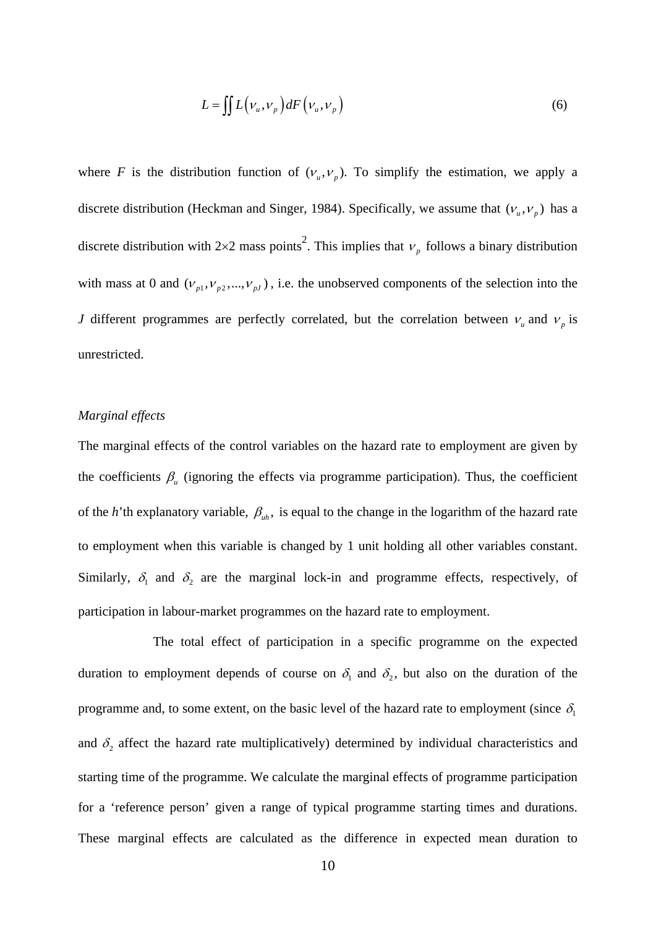$$
L = \iint L\left(\nu_u, \nu_p\right) dF\left(\nu_u, \nu_p\right) \tag{6}
$$

where *F* is the distribution function of  $(V_u, V_v)$ . To simplify the estimation, we apply a discrete distribution (Heckman and Singer, 1984). Specifically, we assume that  $(v_u, v_v)$  has a discrete distribution with  $2\times 2$  mass points<sup>2</sup>. This implies that  $v_p$  follows a binary distribution with mass at 0 and  $(v_{p1}, v_{p2}, ..., v_{pJ})$ , i.e. the unobserved components of the selection into the *J* different programmes are perfectly correlated, but the correlation between  $v<sub>u</sub>$  and  $v<sub>n</sub>$  is unrestricted.

#### *Marginal effects*

The marginal effects of the control variables on the hazard rate to employment are given by the coefficients  $\beta_{\mu}$  (ignoring the effects via programme participation). Thus, the coefficient of the *h*'th explanatory variable,  $\beta_{uh}$ , is equal to the change in the logarithm of the hazard rate to employment when this variable is changed by 1 unit holding all other variables constant. Similarly,  $\delta_1$  and  $\delta_2$  are the marginal lock-in and programme effects, respectively, of participation in labour-market programmes on the hazard rate to employment.

 The total effect of participation in a specific programme on the expected duration to employment depends of course on  $\delta_1$  and  $\delta_2$ , but also on the duration of the programme and, to some extent, on the basic level of the hazard rate to employment (since  $\delta_1$ and  $\delta_2$  affect the hazard rate multiplicatively) determined by individual characteristics and starting time of the programme. We calculate the marginal effects of programme participation for a 'reference person' given a range of typical programme starting times and durations. These marginal effects are calculated as the difference in expected mean duration to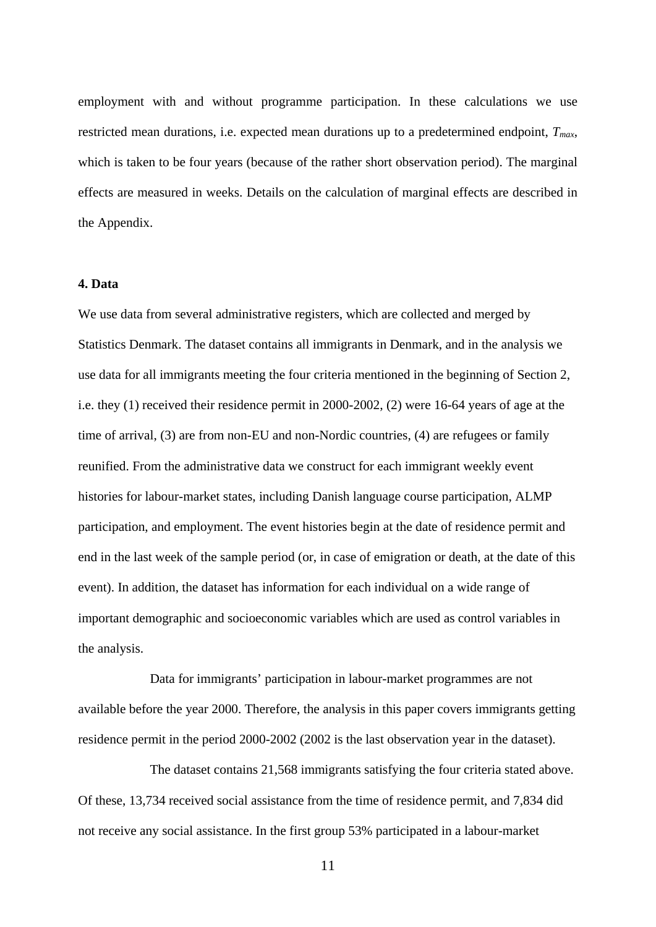employment with and without programme participation. In these calculations we use restricted mean durations, i.e. expected mean durations up to a predetermined endpoint, *Tmax*, which is taken to be four years (because of the rather short observation period). The marginal effects are measured in weeks. Details on the calculation of marginal effects are described in the Appendix.

#### **4. Data**

We use data from several administrative registers, which are collected and merged by Statistics Denmark. The dataset contains all immigrants in Denmark, and in the analysis we use data for all immigrants meeting the four criteria mentioned in the beginning of Section 2, i.e. they (1) received their residence permit in 2000-2002, (2) were 16-64 years of age at the time of arrival, (3) are from non-EU and non-Nordic countries, (4) are refugees or family reunified. From the administrative data we construct for each immigrant weekly event histories for labour-market states, including Danish language course participation, ALMP participation, and employment. The event histories begin at the date of residence permit and end in the last week of the sample period (or, in case of emigration or death, at the date of this event). In addition, the dataset has information for each individual on a wide range of important demographic and socioeconomic variables which are used as control variables in the analysis.

Data for immigrants' participation in labour-market programmes are not available before the year 2000. Therefore, the analysis in this paper covers immigrants getting residence permit in the period 2000-2002 (2002 is the last observation year in the dataset).

The dataset contains 21,568 immigrants satisfying the four criteria stated above. Of these, 13,734 received social assistance from the time of residence permit, and 7,834 did not receive any social assistance. In the first group 53% participated in a labour-market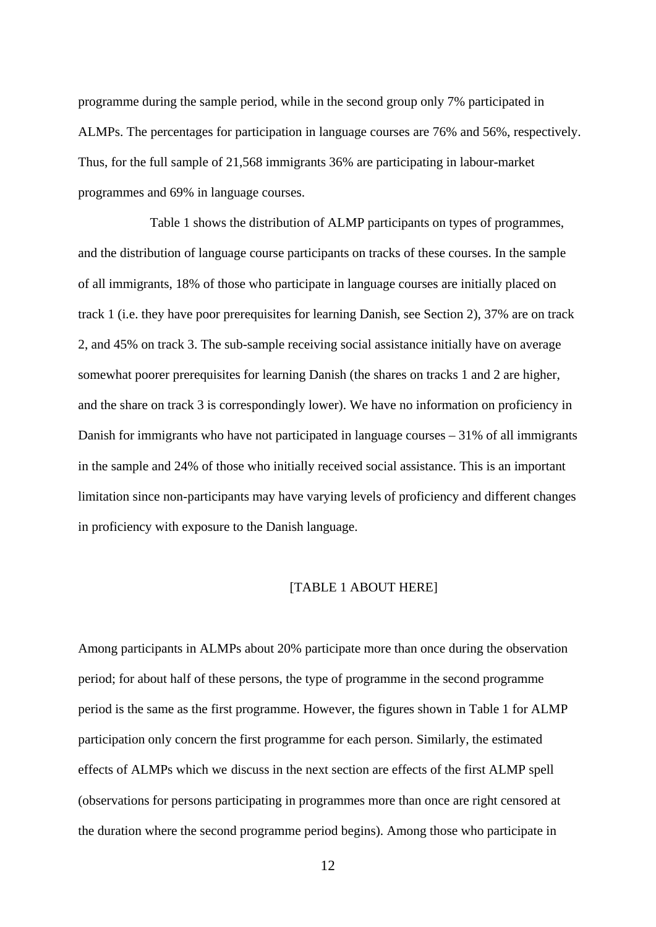programme during the sample period, while in the second group only 7% participated in ALMPs. The percentages for participation in language courses are 76% and 56%, respectively. Thus, for the full sample of 21,568 immigrants 36% are participating in labour-market programmes and 69% in language courses.

Table 1 shows the distribution of ALMP participants on types of programmes, and the distribution of language course participants on tracks of these courses. In the sample of all immigrants, 18% of those who participate in language courses are initially placed on track 1 (i.e. they have poor prerequisites for learning Danish, see Section 2), 37% are on track 2, and 45% on track 3. The sub-sample receiving social assistance initially have on average somewhat poorer prerequisites for learning Danish (the shares on tracks 1 and 2 are higher, and the share on track 3 is correspondingly lower). We have no information on proficiency in Danish for immigrants who have not participated in language courses – 31% of all immigrants in the sample and 24% of those who initially received social assistance. This is an important limitation since non-participants may have varying levels of proficiency and different changes in proficiency with exposure to the Danish language.

#### [TABLE 1 ABOUT HERE]

Among participants in ALMPs about 20% participate more than once during the observation period; for about half of these persons, the type of programme in the second programme period is the same as the first programme. However, the figures shown in Table 1 for ALMP participation only concern the first programme for each person. Similarly, the estimated effects of ALMPs which we discuss in the next section are effects of the first ALMP spell (observations for persons participating in programmes more than once are right censored at the duration where the second programme period begins). Among those who participate in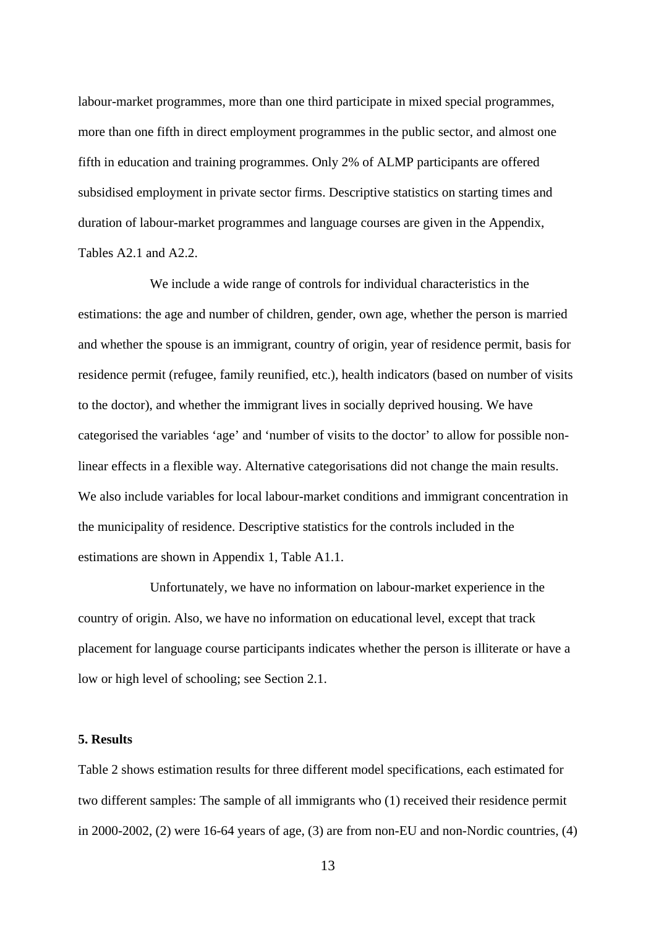labour-market programmes, more than one third participate in mixed special programmes, more than one fifth in direct employment programmes in the public sector, and almost one fifth in education and training programmes. Only 2% of ALMP participants are offered subsidised employment in private sector firms. Descriptive statistics on starting times and duration of labour-market programmes and language courses are given in the Appendix, Tables A2.1 and A2.2.

We include a wide range of controls for individual characteristics in the estimations: the age and number of children, gender, own age, whether the person is married and whether the spouse is an immigrant, country of origin, year of residence permit, basis for residence permit (refugee, family reunified, etc.), health indicators (based on number of visits to the doctor), and whether the immigrant lives in socially deprived housing. We have categorised the variables 'age' and 'number of visits to the doctor' to allow for possible nonlinear effects in a flexible way. Alternative categorisations did not change the main results. We also include variables for local labour-market conditions and immigrant concentration in the municipality of residence. Descriptive statistics for the controls included in the estimations are shown in Appendix 1, Table A1.1.

Unfortunately, we have no information on labour-market experience in the country of origin. Also, we have no information on educational level, except that track placement for language course participants indicates whether the person is illiterate or have a low or high level of schooling; see Section 2.1.

#### **5. Results**

Table 2 shows estimation results for three different model specifications, each estimated for two different samples: The sample of all immigrants who (1) received their residence permit in 2000-2002, (2) were 16-64 years of age, (3) are from non-EU and non-Nordic countries, (4)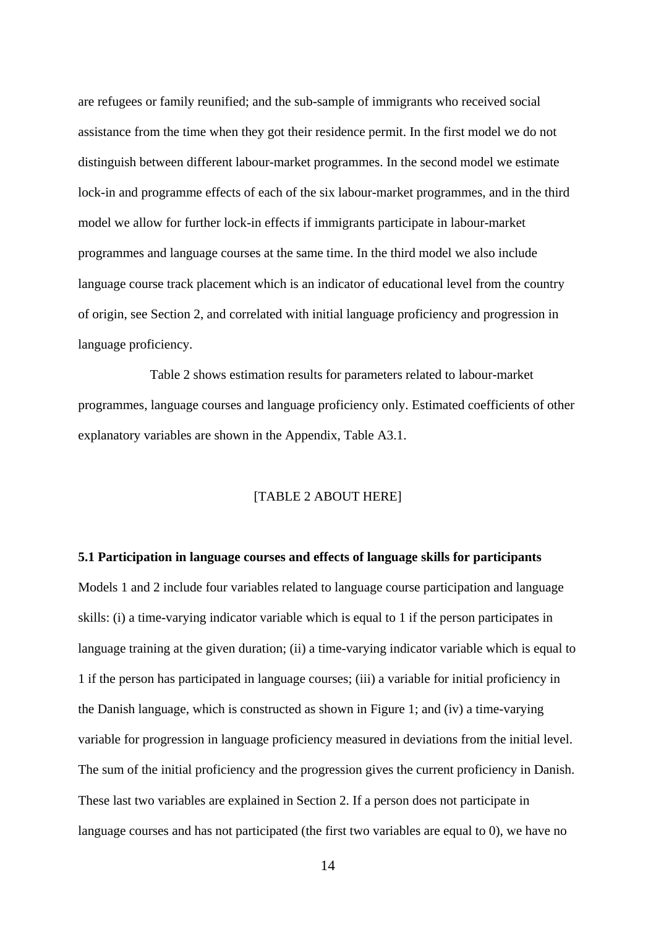are refugees or family reunified; and the sub-sample of immigrants who received social assistance from the time when they got their residence permit. In the first model we do not distinguish between different labour-market programmes. In the second model we estimate lock-in and programme effects of each of the six labour-market programmes, and in the third model we allow for further lock-in effects if immigrants participate in labour-market programmes and language courses at the same time. In the third model we also include language course track placement which is an indicator of educational level from the country of origin, see Section 2, and correlated with initial language proficiency and progression in language proficiency.

 Table 2 shows estimation results for parameters related to labour-market programmes, language courses and language proficiency only. Estimated coefficients of other explanatory variables are shown in the Appendix, Table A3.1.

#### [TABLE 2 ABOUT HERE]

# **5.1 Participation in language courses and effects of language skills for participants**  Models 1 and 2 include four variables related to language course participation and language skills: (i) a time-varying indicator variable which is equal to 1 if the person participates in language training at the given duration; (ii) a time-varying indicator variable which is equal to 1 if the person has participated in language courses; (iii) a variable for initial proficiency in the Danish language, which is constructed as shown in Figure 1; and (iv) a time-varying variable for progression in language proficiency measured in deviations from the initial level. The sum of the initial proficiency and the progression gives the current proficiency in Danish. These last two variables are explained in Section 2. If a person does not participate in language courses and has not participated (the first two variables are equal to 0), we have no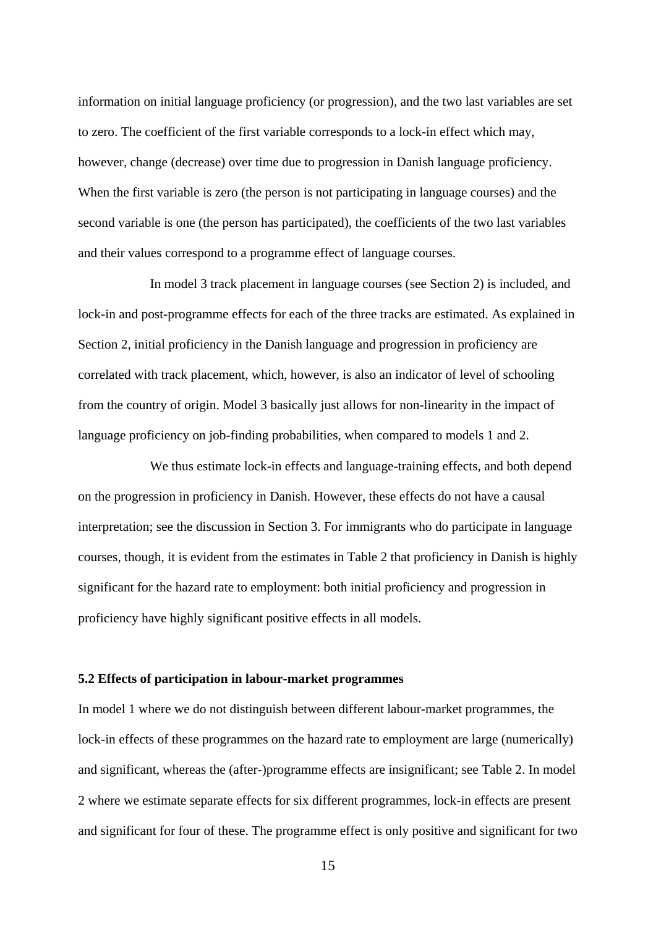information on initial language proficiency (or progression), and the two last variables are set to zero. The coefficient of the first variable corresponds to a lock-in effect which may, however, change (decrease) over time due to progression in Danish language proficiency. When the first variable is zero (the person is not participating in language courses) and the second variable is one (the person has participated), the coefficients of the two last variables and their values correspond to a programme effect of language courses.

In model 3 track placement in language courses (see Section 2) is included, and lock-in and post-programme effects for each of the three tracks are estimated. As explained in Section 2, initial proficiency in the Danish language and progression in proficiency are correlated with track placement, which, however, is also an indicator of level of schooling from the country of origin. Model 3 basically just allows for non-linearity in the impact of language proficiency on job-finding probabilities, when compared to models 1 and 2.

We thus estimate lock-in effects and language-training effects, and both depend on the progression in proficiency in Danish. However, these effects do not have a causal interpretation; see the discussion in Section 3. For immigrants who do participate in language courses, though, it is evident from the estimates in Table 2 that proficiency in Danish is highly significant for the hazard rate to employment: both initial proficiency and progression in proficiency have highly significant positive effects in all models.

#### **5.2 Effects of participation in labour-market programmes**

In model 1 where we do not distinguish between different labour-market programmes, the lock-in effects of these programmes on the hazard rate to employment are large (numerically) and significant, whereas the (after-)programme effects are insignificant; see Table 2. In model 2 where we estimate separate effects for six different programmes, lock-in effects are present and significant for four of these. The programme effect is only positive and significant for two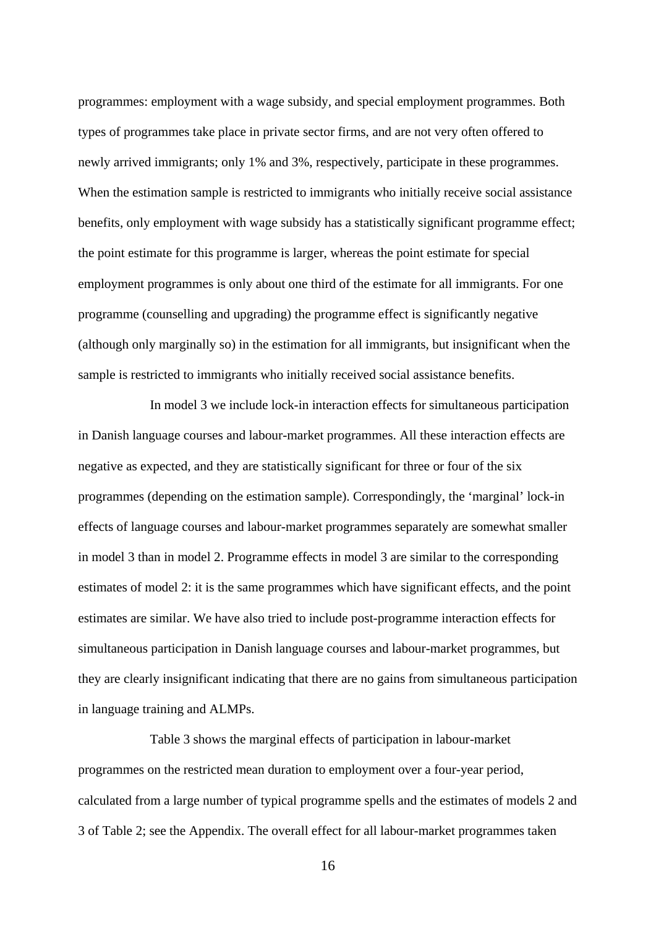programmes: employment with a wage subsidy, and special employment programmes. Both types of programmes take place in private sector firms, and are not very often offered to newly arrived immigrants; only 1% and 3%, respectively, participate in these programmes. When the estimation sample is restricted to immigrants who initially receive social assistance benefits, only employment with wage subsidy has a statistically significant programme effect; the point estimate for this programme is larger, whereas the point estimate for special employment programmes is only about one third of the estimate for all immigrants. For one programme (counselling and upgrading) the programme effect is significantly negative (although only marginally so) in the estimation for all immigrants, but insignificant when the sample is restricted to immigrants who initially received social assistance benefits.

 In model 3 we include lock-in interaction effects for simultaneous participation in Danish language courses and labour-market programmes. All these interaction effects are negative as expected, and they are statistically significant for three or four of the six programmes (depending on the estimation sample). Correspondingly, the 'marginal' lock-in effects of language courses and labour-market programmes separately are somewhat smaller in model 3 than in model 2. Programme effects in model 3 are similar to the corresponding estimates of model 2: it is the same programmes which have significant effects, and the point estimates are similar. We have also tried to include post-programme interaction effects for simultaneous participation in Danish language courses and labour-market programmes, but they are clearly insignificant indicating that there are no gains from simultaneous participation in language training and ALMPs.

 Table 3 shows the marginal effects of participation in labour-market programmes on the restricted mean duration to employment over a four-year period, calculated from a large number of typical programme spells and the estimates of models 2 and 3 of Table 2; see the Appendix. The overall effect for all labour-market programmes taken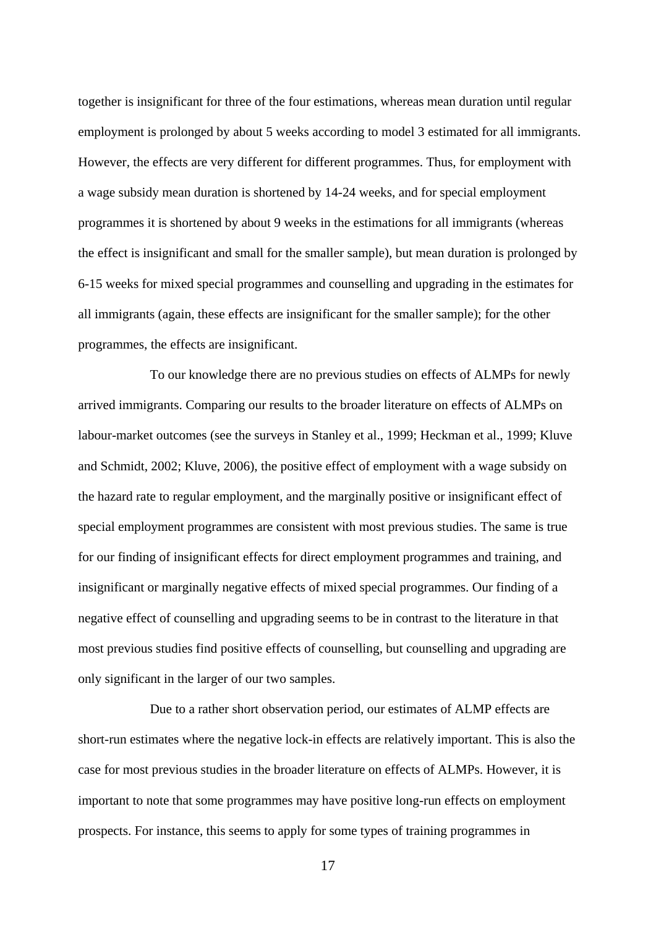together is insignificant for three of the four estimations, whereas mean duration until regular employment is prolonged by about 5 weeks according to model 3 estimated for all immigrants. However, the effects are very different for different programmes. Thus, for employment with a wage subsidy mean duration is shortened by 14-24 weeks, and for special employment programmes it is shortened by about 9 weeks in the estimations for all immigrants (whereas the effect is insignificant and small for the smaller sample), but mean duration is prolonged by 6-15 weeks for mixed special programmes and counselling and upgrading in the estimates for all immigrants (again, these effects are insignificant for the smaller sample); for the other programmes, the effects are insignificant.

To our knowledge there are no previous studies on effects of ALMPs for newly arrived immigrants. Comparing our results to the broader literature on effects of ALMPs on labour-market outcomes (see the surveys in Stanley et al., 1999; Heckman et al., 1999; Kluve and Schmidt, 2002; Kluve, 2006), the positive effect of employment with a wage subsidy on the hazard rate to regular employment, and the marginally positive or insignificant effect of special employment programmes are consistent with most previous studies. The same is true for our finding of insignificant effects for direct employment programmes and training, and insignificant or marginally negative effects of mixed special programmes. Our finding of a negative effect of counselling and upgrading seems to be in contrast to the literature in that most previous studies find positive effects of counselling, but counselling and upgrading are only significant in the larger of our two samples.

Due to a rather short observation period, our estimates of ALMP effects are short-run estimates where the negative lock-in effects are relatively important. This is also the case for most previous studies in the broader literature on effects of ALMPs. However, it is important to note that some programmes may have positive long-run effects on employment prospects. For instance, this seems to apply for some types of training programmes in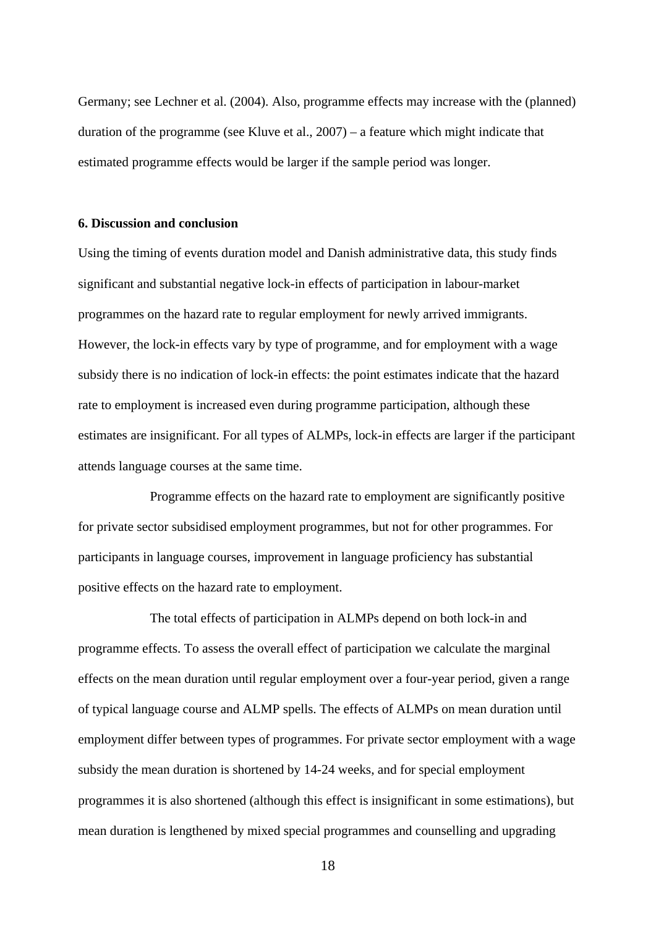Germany; see Lechner et al. (2004). Also, programme effects may increase with the (planned) duration of the programme (see Kluve et al., 2007) – a feature which might indicate that estimated programme effects would be larger if the sample period was longer.

#### **6. Discussion and conclusion**

Using the timing of events duration model and Danish administrative data, this study finds significant and substantial negative lock-in effects of participation in labour-market programmes on the hazard rate to regular employment for newly arrived immigrants. However, the lock-in effects vary by type of programme, and for employment with a wage subsidy there is no indication of lock-in effects: the point estimates indicate that the hazard rate to employment is increased even during programme participation, although these estimates are insignificant. For all types of ALMPs, lock-in effects are larger if the participant attends language courses at the same time.

Programme effects on the hazard rate to employment are significantly positive for private sector subsidised employment programmes, but not for other programmes. For participants in language courses, improvement in language proficiency has substantial positive effects on the hazard rate to employment.

 The total effects of participation in ALMPs depend on both lock-in and programme effects. To assess the overall effect of participation we calculate the marginal effects on the mean duration until regular employment over a four-year period, given a range of typical language course and ALMP spells. The effects of ALMPs on mean duration until employment differ between types of programmes. For private sector employment with a wage subsidy the mean duration is shortened by 14-24 weeks, and for special employment programmes it is also shortened (although this effect is insignificant in some estimations), but mean duration is lengthened by mixed special programmes and counselling and upgrading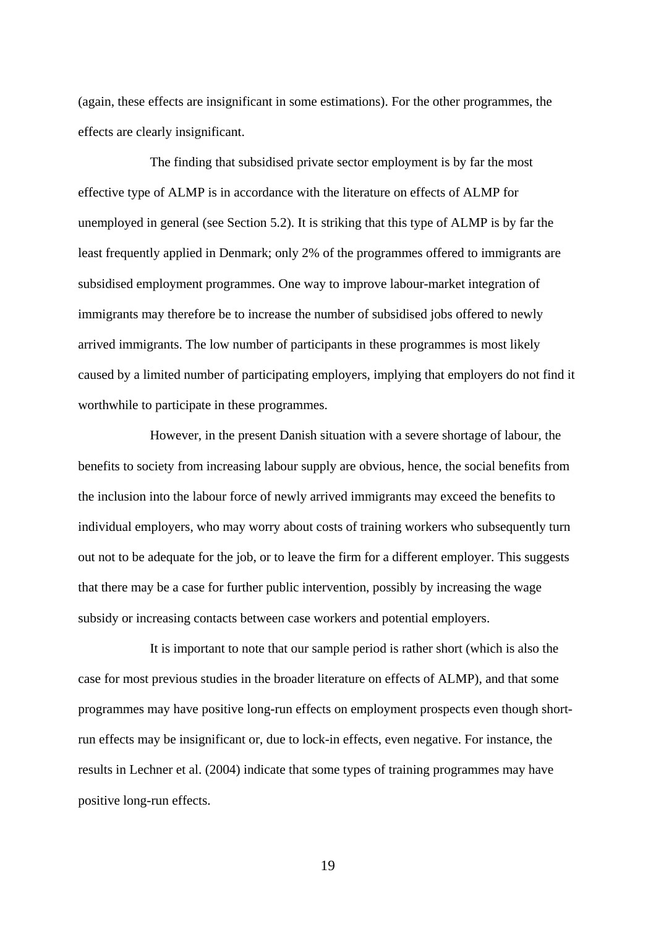(again, these effects are insignificant in some estimations). For the other programmes, the effects are clearly insignificant.

 The finding that subsidised private sector employment is by far the most effective type of ALMP is in accordance with the literature on effects of ALMP for unemployed in general (see Section 5.2). It is striking that this type of ALMP is by far the least frequently applied in Denmark; only 2% of the programmes offered to immigrants are subsidised employment programmes. One way to improve labour-market integration of immigrants may therefore be to increase the number of subsidised jobs offered to newly arrived immigrants. The low number of participants in these programmes is most likely caused by a limited number of participating employers, implying that employers do not find it worthwhile to participate in these programmes.

However, in the present Danish situation with a severe shortage of labour, the benefits to society from increasing labour supply are obvious, hence, the social benefits from the inclusion into the labour force of newly arrived immigrants may exceed the benefits to individual employers, who may worry about costs of training workers who subsequently turn out not to be adequate for the job, or to leave the firm for a different employer. This suggests that there may be a case for further public intervention, possibly by increasing the wage subsidy or increasing contacts between case workers and potential employers.

 It is important to note that our sample period is rather short (which is also the case for most previous studies in the broader literature on effects of ALMP), and that some programmes may have positive long-run effects on employment prospects even though shortrun effects may be insignificant or, due to lock-in effects, even negative. For instance, the results in Lechner et al. (2004) indicate that some types of training programmes may have positive long-run effects.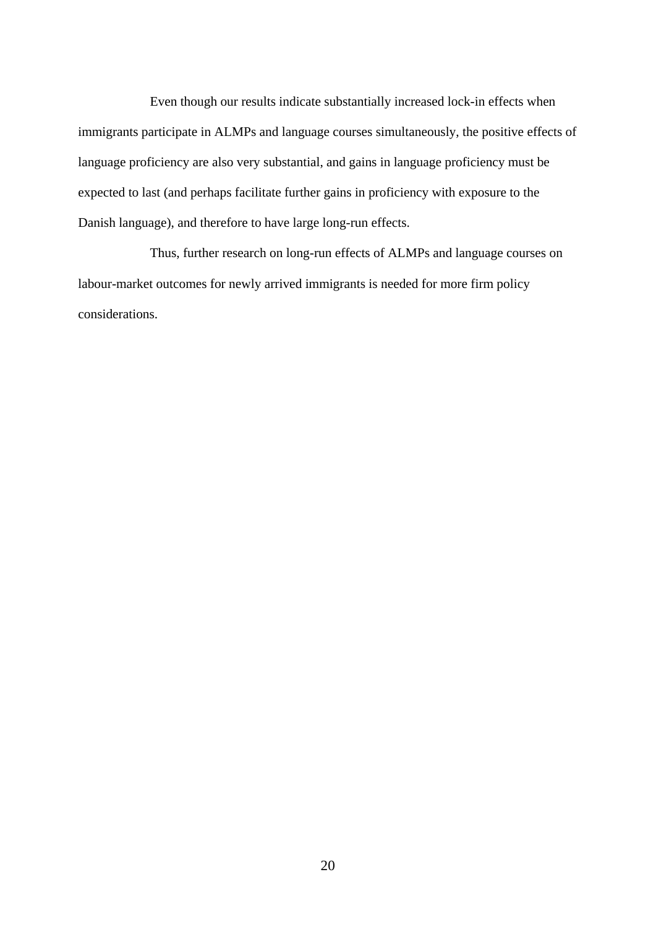Even though our results indicate substantially increased lock-in effects when immigrants participate in ALMPs and language courses simultaneously, the positive effects of language proficiency are also very substantial, and gains in language proficiency must be expected to last (and perhaps facilitate further gains in proficiency with exposure to the Danish language), and therefore to have large long-run effects.

 Thus, further research on long-run effects of ALMPs and language courses on labour-market outcomes for newly arrived immigrants is needed for more firm policy considerations.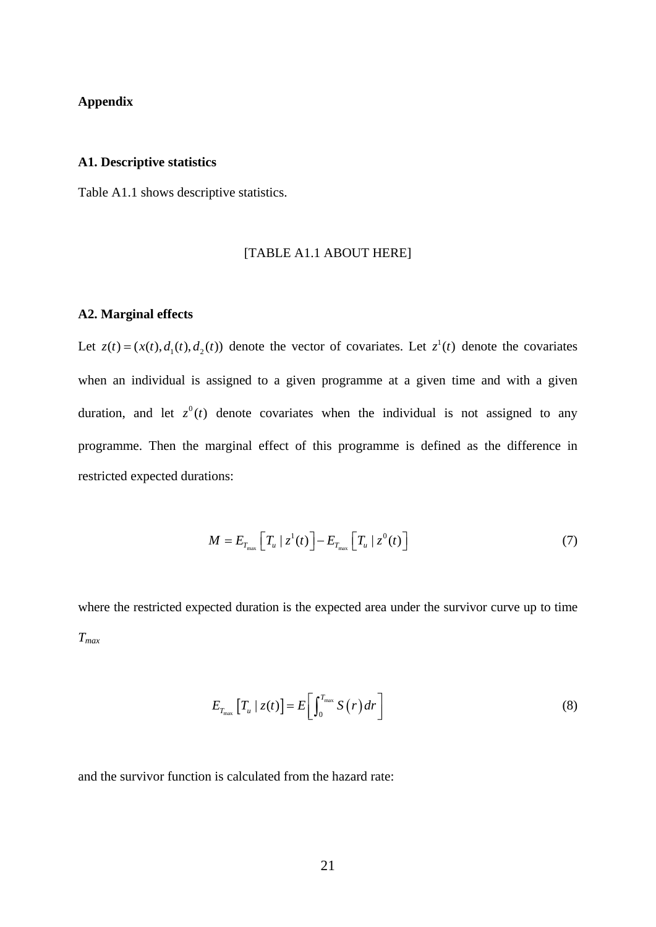#### **Appendix**

#### **A1. Descriptive statistics**

Table A1.1 shows descriptive statistics.

#### [TABLE A1.1 ABOUT HERE]

#### **A2. Marginal effects**

Let  $z(t) = (x(t), d_1(t), d_2(t))$  denote the vector of covariates. Let  $z^1(t)$  denote the covariates when an individual is assigned to a given programme at a given time and with a given duration, and let  $z^0(t)$  denote covariates when the individual is not assigned to any programme. Then the marginal effect of this programme is defined as the difference in restricted expected durations:

$$
M = E_{T_{\text{max}}} \left[ T_u \mid z^1(t) \right] - E_{T_{\text{max}}} \left[ T_u \mid z^0(t) \right] \tag{7}
$$

where the restricted expected duration is the expected area under the survivor curve up to time *Tmax*

$$
E_{T_{\max}}\left[T_u \mid z(t)\right] = E\left[\int_0^{T_{\max}} S(r) dr\right]
$$
\n(8)

and the survivor function is calculated from the hazard rate: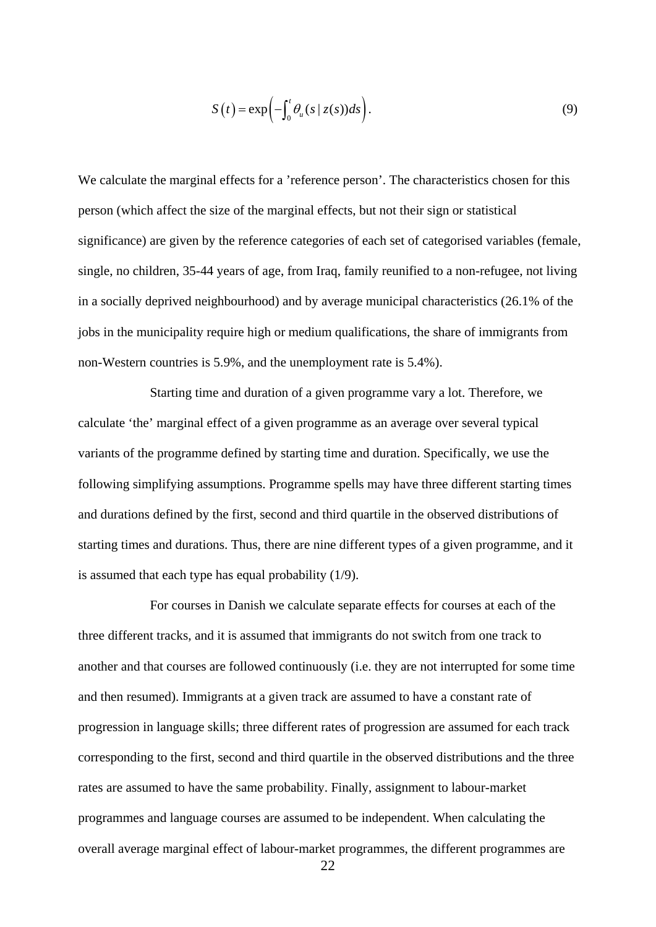$$
S(t) = \exp\left(-\int_0^t \theta_u(s \mid z(s))ds\right).
$$
 (9)

We calculate the marginal effects for a 'reference person'. The characteristics chosen for this person (which affect the size of the marginal effects, but not their sign or statistical significance) are given by the reference categories of each set of categorised variables (female, single, no children, 35-44 years of age, from Iraq, family reunified to a non-refugee, not living in a socially deprived neighbourhood) and by average municipal characteristics (26.1% of the jobs in the municipality require high or medium qualifications, the share of immigrants from non-Western countries is 5.9%, and the unemployment rate is 5.4%).

 Starting time and duration of a given programme vary a lot. Therefore, we calculate 'the' marginal effect of a given programme as an average over several typical variants of the programme defined by starting time and duration. Specifically, we use the following simplifying assumptions. Programme spells may have three different starting times and durations defined by the first, second and third quartile in the observed distributions of starting times and durations. Thus, there are nine different types of a given programme, and it is assumed that each type has equal probability (1/9).

For courses in Danish we calculate separate effects for courses at each of the three different tracks, and it is assumed that immigrants do not switch from one track to another and that courses are followed continuously (i.e. they are not interrupted for some time and then resumed). Immigrants at a given track are assumed to have a constant rate of progression in language skills; three different rates of progression are assumed for each track corresponding to the first, second and third quartile in the observed distributions and the three rates are assumed to have the same probability. Finally, assignment to labour-market programmes and language courses are assumed to be independent. When calculating the overall average marginal effect of labour-market programmes, the different programmes are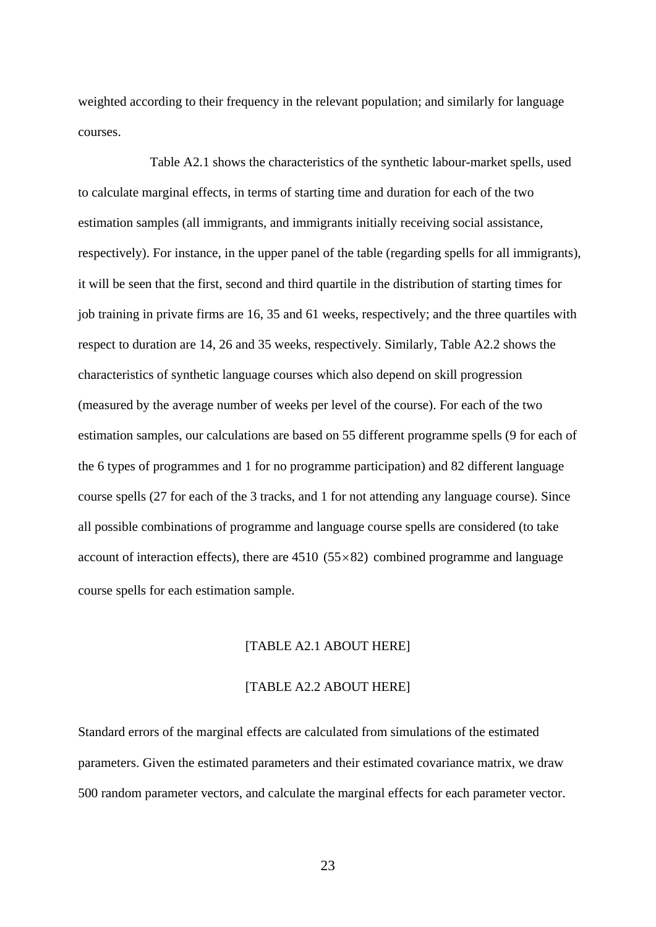weighted according to their frequency in the relevant population; and similarly for language courses.

Table A2.1 shows the characteristics of the synthetic labour-market spells, used to calculate marginal effects, in terms of starting time and duration for each of the two estimation samples (all immigrants, and immigrants initially receiving social assistance, respectively). For instance, in the upper panel of the table (regarding spells for all immigrants), it will be seen that the first, second and third quartile in the distribution of starting times for job training in private firms are 16, 35 and 61 weeks, respectively; and the three quartiles with respect to duration are 14, 26 and 35 weeks, respectively. Similarly, Table A2.2 shows the characteristics of synthetic language courses which also depend on skill progression (measured by the average number of weeks per level of the course). For each of the two estimation samples, our calculations are based on 55 different programme spells (9 for each of the 6 types of programmes and 1 for no programme participation) and 82 different language course spells (27 for each of the 3 tracks, and 1 for not attending any language course). Since all possible combinations of programme and language course spells are considered (to take account of interaction effects), there are  $4510$  ( $55 \times 82$ ) combined programme and language course spells for each estimation sample.

#### [TABLE A2.1 ABOUT HERE]

#### [TABLE A2.2 ABOUT HERE]

Standard errors of the marginal effects are calculated from simulations of the estimated parameters. Given the estimated parameters and their estimated covariance matrix, we draw 500 random parameter vectors, and calculate the marginal effects for each parameter vector.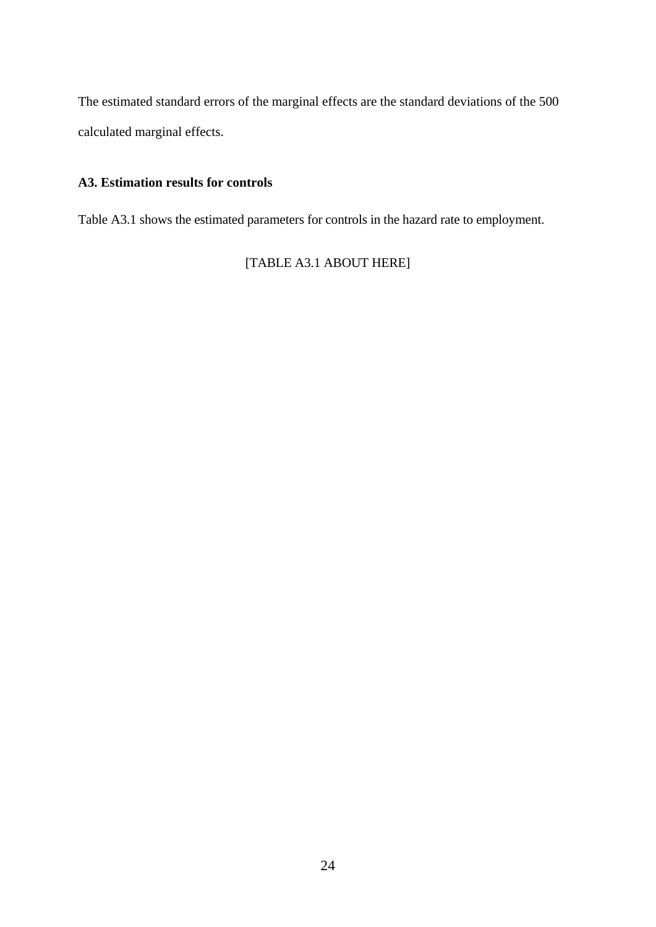The estimated standard errors of the marginal effects are the standard deviations of the 500 calculated marginal effects.

### **A3. Estimation results for controls**

Table A3.1 shows the estimated parameters for controls in the hazard rate to employment.

[TABLE A3.1 ABOUT HERE]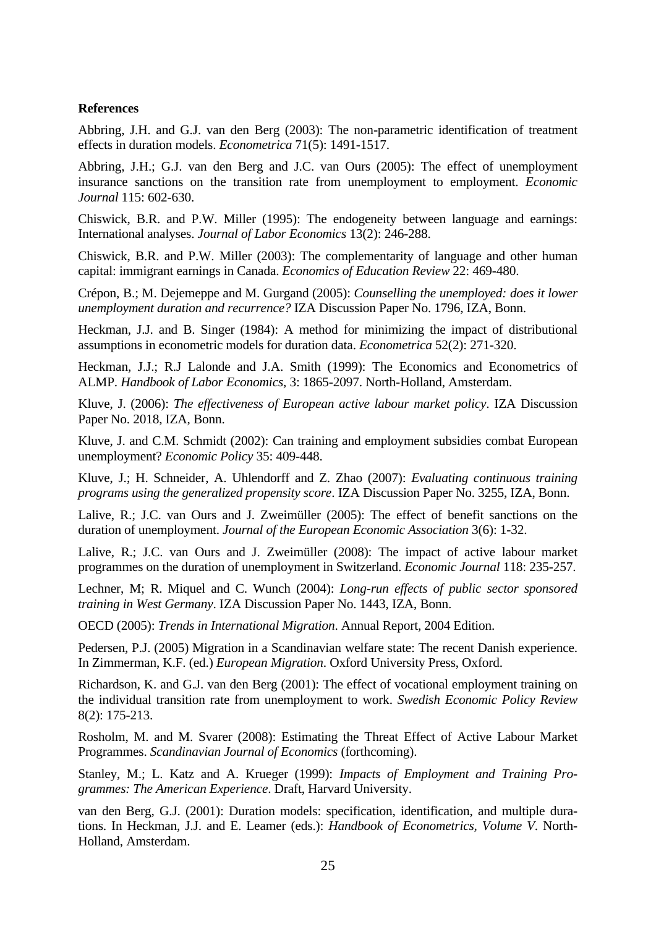#### **References**

Abbring, J.H. and G.J. van den Berg (2003): The non-parametric identification of treatment effects in duration models. *Econometrica* 71(5): 1491-1517.

Abbring, J.H.; G.J. van den Berg and J.C. van Ours (2005): The effect of unemployment insurance sanctions on the transition rate from unemployment to employment. *Economic Journal* 115: 602-630.

Chiswick, B.R. and P.W. Miller (1995): The endogeneity between language and earnings: International analyses. *Journal of Labor Economics* 13(2): 246-288.

Chiswick, B.R. and P.W. Miller (2003): The complementarity of language and other human capital: immigrant earnings in Canada. *Economics of Education Review* 22: 469-480.

Crépon, B.; M. Dejemeppe and M. Gurgand (2005): *Counselling the unemployed: does it lower unemployment duration and recurrence?* IZA Discussion Paper No. 1796, IZA, Bonn.

Heckman, J.J. and B. Singer (1984): A method for minimizing the impact of distributional assumptions in econometric models for duration data. *Econometrica* 52(2): 271-320.

Heckman, J.J.; R.J Lalonde and J.A. Smith (1999): The Economics and Econometrics of ALMP. *Handbook of Labor Economics*, 3: 1865-2097. North-Holland, Amsterdam.

Kluve, J. (2006): *The effectiveness of European active labour market policy*. IZA Discussion Paper No. 2018, IZA, Bonn.

Kluve, J. and C.M. Schmidt (2002): Can training and employment subsidies combat European unemployment? *Economic Policy* 35: 409-448.

Kluve, J.; H. Schneider, A. Uhlendorff and Z. Zhao (2007): *Evaluating continuous training programs using the generalized propensity score*. IZA Discussion Paper No. 3255, IZA, Bonn.

Lalive, R.; J.C. van Ours and J. Zweimüller (2005): The effect of benefit sanctions on the duration of unemployment. *Journal of the European Economic Association* 3(6): 1-32.

Lalive, R.; J.C. van Ours and J. Zweimüller (2008): The impact of active labour market programmes on the duration of unemployment in Switzerland. *Economic Journal* 118: 235-257.

Lechner, M; R. Miquel and C. Wunch (2004): *Long-run effects of public sector sponsored training in West Germany*. IZA Discussion Paper No. 1443, IZA, Bonn.

OECD (2005): *Trends in International Migration*. Annual Report, 2004 Edition.

Pedersen, P.J. (2005) Migration in a Scandinavian welfare state: The recent Danish experience. In Zimmerman, K.F. (ed.) *European Migration*. Oxford University Press, Oxford.

Richardson, K. and G.J. van den Berg (2001): The effect of vocational employment training on the individual transition rate from unemployment to work. *Swedish Economic Policy Review* 8(2): 175-213.

Rosholm, M. and M. Svarer (2008): Estimating the Threat Effect of Active Labour Market Programmes. *Scandinavian Journal of Economics* (forthcoming).

Stanley, M.; L. Katz and A. Krueger (1999): *Impacts of Employment and Training Programmes: The American Experience*. Draft, Harvard University.

van den Berg, G.J. (2001): Duration models: specification, identification, and multiple durations. In Heckman, J.J. and E. Leamer (eds.): *Handbook of Econometrics, Volume V*. North-Holland, Amsterdam.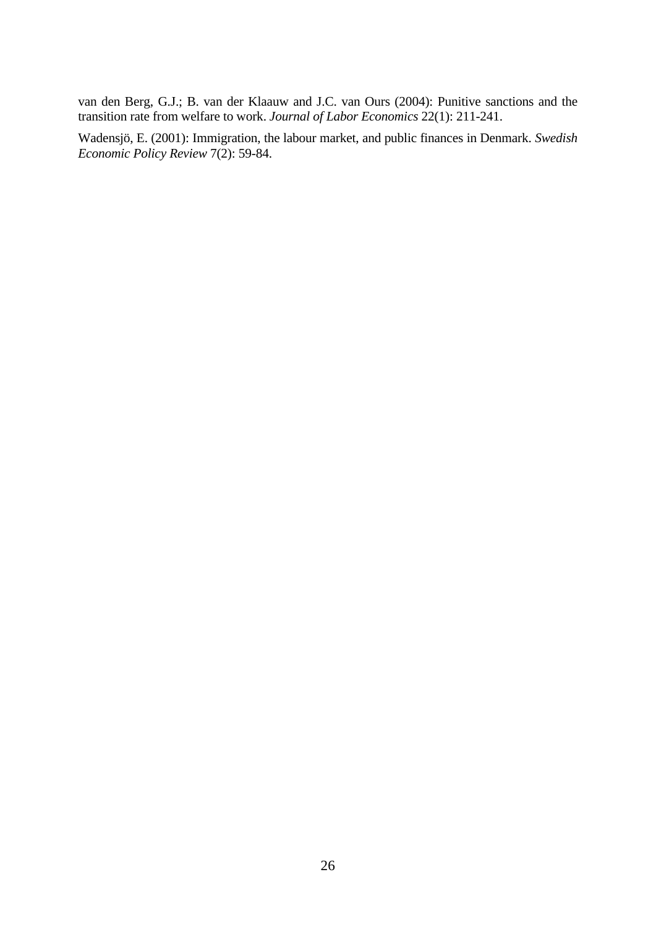van den Berg, G.J.; B. van der Klaauw and J.C. van Ours (2004): Punitive sanctions and the transition rate from welfare to work. *Journal of Labor Economics* 22(1): 211-241.

Wadensjö, E. (2001): Immigration, the labour market, and public finances in Denmark. *Swedish Economic Policy Review* 7(2): 59-84.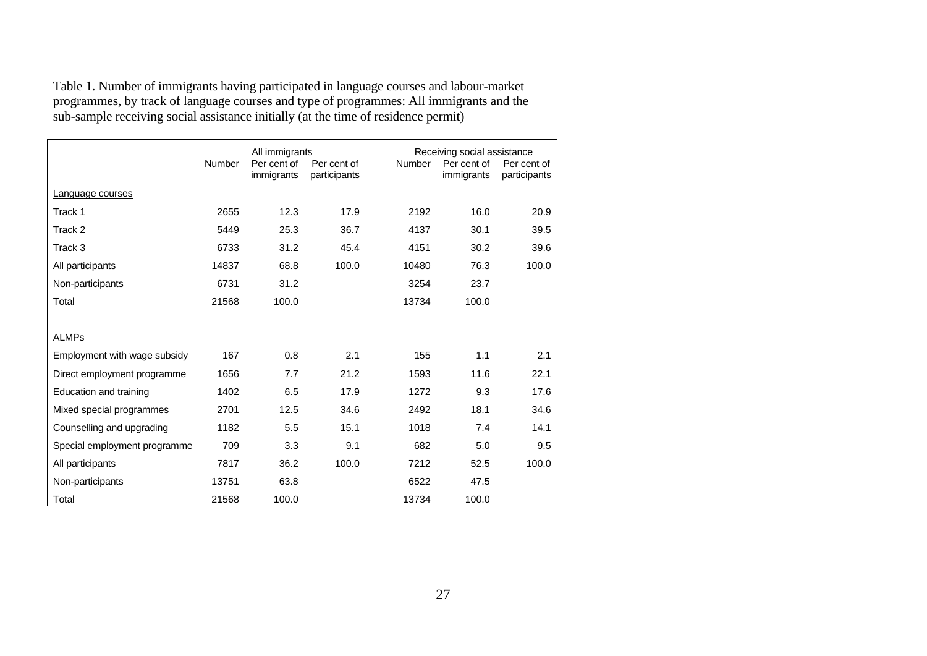Table 1. Number of immigrants having participated in language courses and labour-market programmes, by track of language courses and type of programmes: All immigrants and the sub-sample receiving social assistance initially (at the time of residence permit)

|                              |        | All immigrants            |                             |        | Receiving social assistance |                             |  |  |  |  |  |
|------------------------------|--------|---------------------------|-----------------------------|--------|-----------------------------|-----------------------------|--|--|--|--|--|
|                              | Number | Per cent of<br>immigrants | Per cent of<br>participants | Number | Per cent of<br>immigrants   | Per cent of<br>participants |  |  |  |  |  |
| Language courses             |        |                           |                             |        |                             |                             |  |  |  |  |  |
| Track 1                      | 2655   | 12.3                      | 17.9                        | 2192   | 16.0                        | 20.9                        |  |  |  |  |  |
| Track 2                      | 5449   | 25.3                      | 36.7                        | 4137   | 30.1                        | 39.5                        |  |  |  |  |  |
| Track 3                      | 6733   | 31.2                      | 45.4                        | 4151   | 30.2                        | 39.6                        |  |  |  |  |  |
| All participants             | 14837  | 68.8                      | 100.0                       | 10480  | 76.3                        | 100.0                       |  |  |  |  |  |
| Non-participants             | 6731   | 31.2                      |                             | 3254   | 23.7                        |                             |  |  |  |  |  |
| Total                        | 21568  | 100.0                     |                             | 13734  | 100.0                       |                             |  |  |  |  |  |
|                              |        |                           |                             |        |                             |                             |  |  |  |  |  |
| ALMPs                        |        |                           |                             |        |                             |                             |  |  |  |  |  |
| Employment with wage subsidy | 167    | 0.8                       | 2.1                         | 155    | 1.1                         | 2.1                         |  |  |  |  |  |
| Direct employment programme  | 1656   | 7.7                       | 21.2                        | 1593   | 11.6                        | 22.1                        |  |  |  |  |  |
| Education and training       | 1402   | 6.5                       | 17.9                        | 1272   | 9.3                         | 17.6                        |  |  |  |  |  |
| Mixed special programmes     | 2701   | 12.5                      | 34.6                        | 2492   | 18.1                        | 34.6                        |  |  |  |  |  |
| Counselling and upgrading    | 1182   | 5.5                       | 15.1                        | 1018   | 7.4                         | 14.1                        |  |  |  |  |  |
| Special employment programme | 709    | 3.3                       | 9.1                         | 682    | 5.0                         | 9.5                         |  |  |  |  |  |
| All participants             | 7817   | 36.2                      | 100.0                       | 7212   | 52.5                        | 100.0                       |  |  |  |  |  |
| Non-participants             | 13751  | 63.8                      |                             | 6522   | 47.5                        |                             |  |  |  |  |  |
| Total                        | 21568  | 100.0                     |                             | 13734  | 100.0                       |                             |  |  |  |  |  |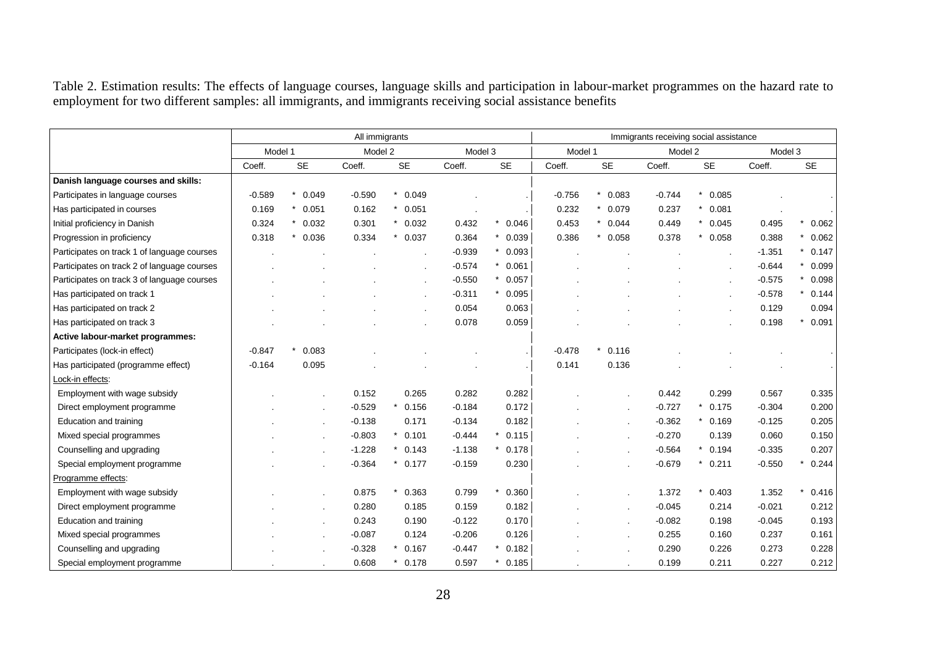Table 2. Estimation results: The effects of language courses, language skills and participation in labour-market programmes on the hazard rate to employment for two different samples: all immigrants, and immigrants receiving social assistance benefits

|                                             |          |                  | All immigrants |                     |          | Immigrants receiving social assistance |          |           |          |           |          |            |  |
|---------------------------------------------|----------|------------------|----------------|---------------------|----------|----------------------------------------|----------|-----------|----------|-----------|----------|------------|--|
|                                             | Model 1  |                  | Model 2        |                     | Model 3  |                                        | Model 1  |           | Model 2  |           | Model 3  |            |  |
|                                             | Coeff.   | <b>SE</b>        | Coeff.         | <b>SE</b>           | Coeff.   | <b>SE</b>                              | Coeff.   | <b>SE</b> | Coeff.   | <b>SE</b> | Coeff.   | <b>SE</b>  |  |
| Danish language courses and skills:         |          |                  |                |                     |          |                                        |          |           |          |           |          |            |  |
| Participates in language courses            | $-0.589$ | 0.049<br>$\star$ | $-0.590$       | $\star$<br>0.049    |          |                                        | $-0.756$ | 0.083     | $-0.744$ | $*$ 0.085 |          |            |  |
| Has participated in courses                 | 0.169    | 0.051<br>$\star$ | 0.162          | $*$ 0.051           |          |                                        | 0.232    | $*$ 0.079 | 0.237    | $*$ 0.081 |          |            |  |
| Initial proficiency in Danish               | 0.324    | $\star$<br>0.032 | 0.301          | $*$ 0.032           | 0.432    | 0.046                                  | 0.453    | $*$ 0.044 | 0.449    | $*$ 0.045 | 0.495    | *<br>0.062 |  |
| Progression in proficiency                  | 0.318    | 0.036            | 0.334          | 0.037               | 0.364    | $*$ 0.039                              | 0.386    | $*$ 0.058 | 0.378    | $*$ 0.058 | 0.388    | 0.062      |  |
| Participates on track 1 of language courses |          |                  |                |                     | $-0.939$ | $\star$<br>0.093                       |          |           |          |           | $-1.351$ | *<br>0.147 |  |
| Participates on track 2 of language courses |          |                  |                |                     | $-0.574$ | $* 0.061$                              |          |           |          |           | $-0.644$ | *<br>0.099 |  |
| Participates on track 3 of language courses |          |                  |                |                     | $-0.550$ | 0.057                                  |          |           |          |           | $-0.575$ | 0.098<br>* |  |
| Has participated on track 1                 |          |                  |                |                     | $-0.311$ | 0.095                                  |          |           |          |           | $-0.578$ | 0.144      |  |
| Has participated on track 2                 |          |                  |                |                     | 0.054    | 0.063                                  |          |           |          |           | 0.129    | 0.094      |  |
| Has participated on track 3                 |          |                  |                |                     | 0.078    | 0.059                                  |          |           |          |           | 0.198    | 0.091<br>* |  |
| Active labour-market programmes:            |          |                  |                |                     |          |                                        |          |           |          |           |          |            |  |
| Participates (lock-in effect)               | $-0.847$ | 0.083<br>*       |                |                     |          |                                        | $-0.478$ | 0.116     |          |           |          |            |  |
| Has participated (programme effect)         | $-0.164$ | 0.095            |                |                     |          |                                        | 0.141    | 0.136     |          |           |          |            |  |
| Lock-in effects:                            |          |                  |                |                     |          |                                        |          |           |          |           |          |            |  |
| Employment with wage subsidy                |          |                  | 0.152          | 0.265               | 0.282    | 0.282                                  |          |           | 0.442    | 0.299     | 0.567    | 0.335      |  |
| Direct employment programme                 |          | $\blacksquare$   | $-0.529$       | 0.156               | $-0.184$ | 0.172                                  |          |           | $-0.727$ | 0.175     | $-0.304$ | 0.200      |  |
| Education and training                      |          | $\mathbf{r}$     | $-0.138$       | 0.171               | $-0.134$ | 0.182                                  |          |           | $-0.362$ | $*$ 0.169 | $-0.125$ | 0.205      |  |
| Mixed special programmes                    |          | $\blacksquare$   | $-0.803$       | 0.101<br>$^{\star}$ | $-0.444$ | 0.115                                  |          |           | $-0.270$ | 0.139     | 0.060    | 0.150      |  |
| Counselling and upgrading                   |          | $\blacksquare$   | $-1.228$       | 0.143               | $-1.138$ | 0.178                                  |          |           | $-0.564$ | $*$ 0.194 | $-0.335$ | 0.207      |  |
| Special employment programme                |          |                  | $-0.364$       | 0.177               | $-0.159$ | 0.230                                  |          |           | $-0.679$ | $*$ 0.211 | $-0.550$ | 0.244<br>* |  |
| Programme effects:                          |          |                  |                |                     |          |                                        |          |           |          |           |          |            |  |
| Employment with wage subsidy                |          |                  | 0.875          | 0.363               | 0.799    | 0.360                                  |          |           | 1.372    | 0.403     | 1.352    | 0.416      |  |
| Direct employment programme                 |          |                  | 0.280          | 0.185               | 0.159    | 0.182                                  |          |           | $-0.045$ | 0.214     | $-0.021$ | 0.212      |  |
| Education and training                      |          |                  | 0.243          | 0.190               | $-0.122$ | 0.170                                  |          |           | $-0.082$ | 0.198     | $-0.045$ | 0.193      |  |
| Mixed special programmes                    |          |                  | $-0.087$       | 0.124               | $-0.206$ | 0.126                                  |          |           | 0.255    | 0.160     | 0.237    | 0.161      |  |
| Counselling and upgrading                   |          |                  | $-0.328$       | 0.167               | $-0.447$ | 0.182                                  |          |           | 0.290    | 0.226     | 0.273    | 0.228      |  |
| Special employment programme                |          |                  | 0.608          | 0.178               | 0.597    | $*$ 0.185                              |          |           | 0.199    | 0.211     | 0.227    | 0.212      |  |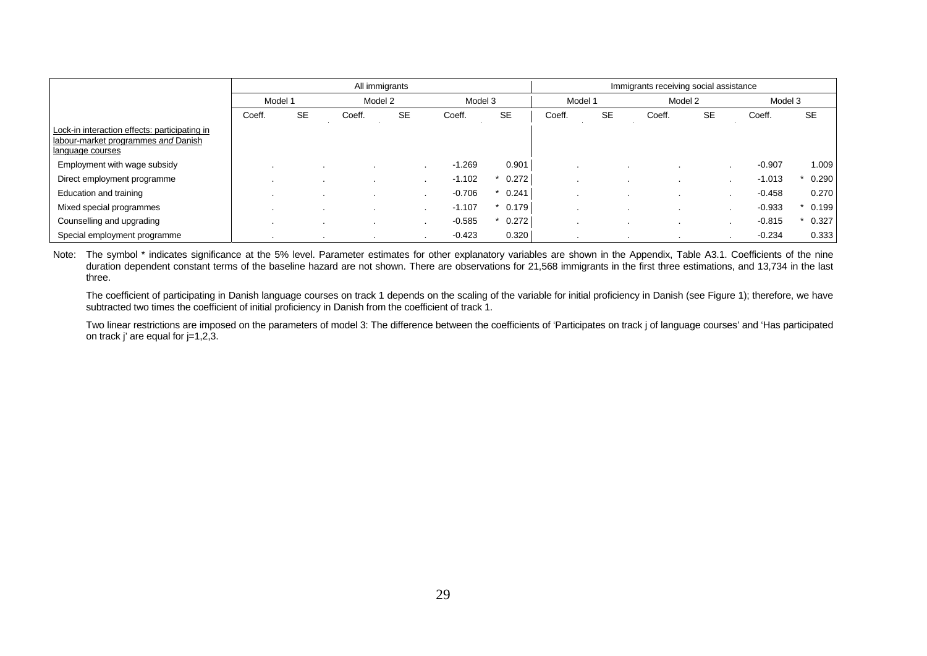|                                                                                                          |        |           | All immigrants |             |          | Immigrants receiving social assistance |         |           |         |                          |          |           |  |
|----------------------------------------------------------------------------------------------------------|--------|-----------|----------------|-------------|----------|----------------------------------------|---------|-----------|---------|--------------------------|----------|-----------|--|
|                                                                                                          |        | Model 1   |                | Model 2     | Model 3  |                                        | Model 1 |           | Model 2 |                          | Model 3  |           |  |
|                                                                                                          | Coeff. | <b>SE</b> | Coeff.         | <b>SE</b>   | Coeff.   | <b>SE</b>                              | Coeff.  | <b>SE</b> | Coeff.  | <b>SE</b>                | Coeff.   | <b>SE</b> |  |
| Lock-in interaction effects: participating in<br>labour-market programmes and Danish<br>language courses |        |           |                |             |          |                                        |         |           |         |                          |          |           |  |
| Employment with wage subsidy                                                                             |        |           |                | <b>1999</b> | $-1.269$ | 0.901                                  |         |           |         | $\sim$                   | $-0.907$ | 1.009     |  |
| Direct employment programme                                                                              |        |           |                | . .         | $-1.102$ | 0.272                                  |         |           |         | $\overline{\phantom{a}}$ | $-1.013$ | 0.290     |  |
| Education and training                                                                                   |        |           |                |             | $-0.706$ | 0.241                                  |         |           |         |                          | $-0.458$ | 0.270     |  |
| Mixed special programmes                                                                                 |        |           |                |             | $-1.107$ | 0.179                                  |         |           |         |                          | $-0.933$ | 0.199     |  |
| Counselling and upgrading                                                                                |        |           |                | <b>1999</b> | $-0.585$ | 0.272                                  |         |           |         | $\cdot$                  | $-0.815$ | 0.327     |  |
| Special employment programme                                                                             |        |           |                |             | $-0.423$ | 0.320                                  | $\cdot$ |           |         | $\cdot$                  | $-0.234$ | 0.333     |  |

Note: The symbol \* indicates significance at the 5% level. Parameter estimates for other explanatory variables are shown in the Appendix, Table A3.1. Coefficients of the nine duration dependent constant terms of the baseline hazard are not shown. There are observations for 21,568 immigrants in the first three estimations, and 13,734 in the last three.

The coefficient of participating in Danish language courses on track 1 depends on the scaling of the variable for initial proficiency in Danish (see Figure 1); therefore, we have subtracted two times the coefficient of initial proficiency in Danish from the coefficient of track 1.

Two linear restrictions are imposed on the parameters of model 3: The difference between the coefficients of 'Participates on track j of language courses' and 'Has participated on track j' are equal for  $j=1,2,3$ .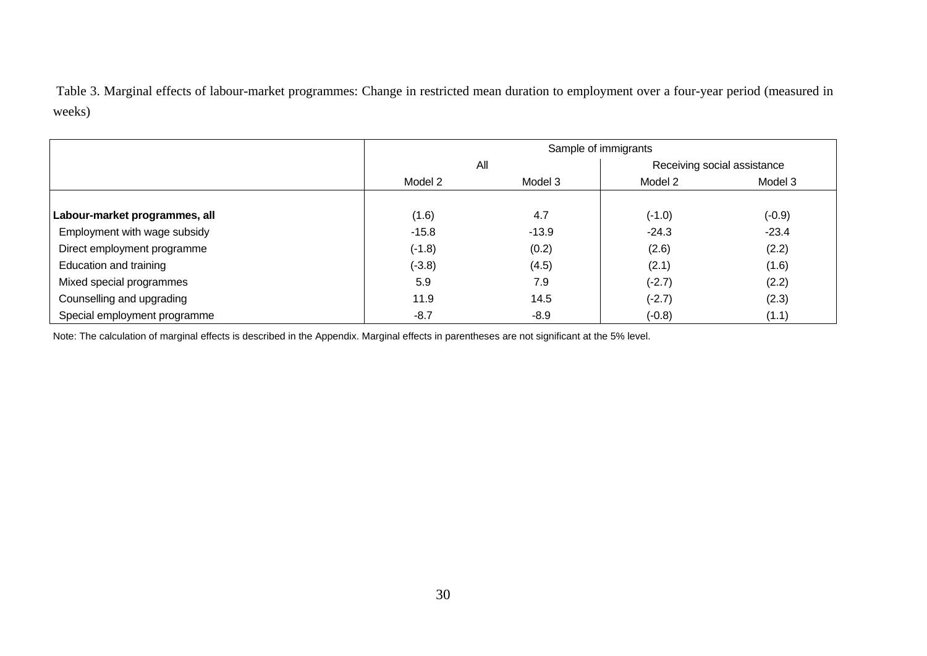Table 3. Marginal effects of labour-market programmes: Change in restricted mean duration to employment over a four-year period (measured in weeks)

|                               |          | Sample of immigrants |          |                             |
|-------------------------------|----------|----------------------|----------|-----------------------------|
|                               | All      |                      |          | Receiving social assistance |
|                               | Model 2  | Model 3              | Model 2  | Model 3                     |
|                               |          |                      |          |                             |
| Labour-market programmes, all | (1.6)    | 4.7                  | $(-1.0)$ | $(-0.9)$                    |
| Employment with wage subsidy  | $-15.8$  | $-13.9$              | $-24.3$  | $-23.4$                     |
| Direct employment programme   | $(-1.8)$ | (0.2)                | (2.6)    | (2.2)                       |
| Education and training        | $(-3.8)$ | (4.5)                | (2.1)    | (1.6)                       |
| Mixed special programmes      | 5.9      | 7.9                  | $(-2.7)$ | (2.2)                       |
| Counselling and upgrading     | 11.9     | 14.5                 | $(-2.7)$ | (2.3)                       |
| Special employment programme  | $-8.7$   | $-8.9$               | $(-0.8)$ | (1.1)                       |

Note: The calculation of marginal effects is described in the Appendix. Marginal effects in parentheses are not significant at the 5% level.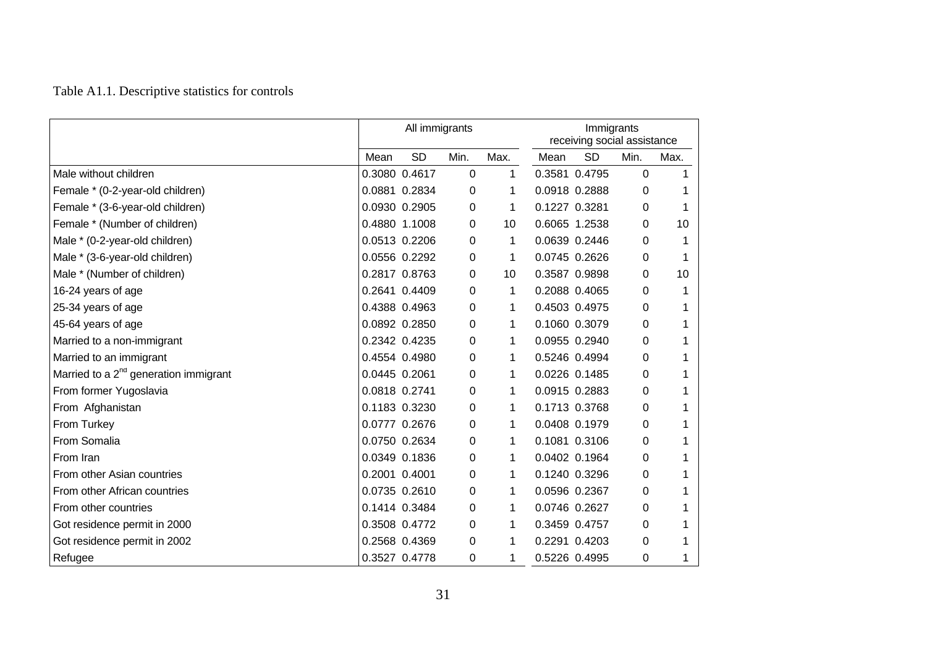## Table A1.1. Descriptive statistics for controls

|                                                   |               | All immigrants |          |      | Immigrants<br>receiving social assistance |               |          |      |  |  |
|---------------------------------------------------|---------------|----------------|----------|------|-------------------------------------------|---------------|----------|------|--|--|
|                                                   | Mean          | <b>SD</b>      | Min.     | Max. | Mean                                      | <b>SD</b>     | Min.     | Max. |  |  |
| Male without children                             |               | 0.3080 0.4617  | 0        | 1    |                                           | 0.3581 0.4795 | 0        |      |  |  |
| Female * (0-2-year-old children)                  |               | 0.0881 0.2834  | 0        | 1    |                                           | 0.0918 0.2888 | 0        |      |  |  |
| Female * (3-6-year-old children)                  |               | 0.0930 0.2905  | 0        | 1    |                                           | 0.1227 0.3281 | 0        |      |  |  |
| Female * (Number of children)                     |               | 0.4880 1.1008  | 0        | 10   |                                           | 0.6065 1.2538 | 0        | 10   |  |  |
| Male * (0-2-year-old children)                    |               | 0.0513 0.2206  | 0        | 1    |                                           | 0.0639 0.2446 | 0        | 1    |  |  |
| Male * (3-6-year-old children)                    |               | 0.0556 0.2292  | 0        | 1    |                                           | 0.0745 0.2626 | 0        | 1    |  |  |
| Male * (Number of children)                       |               | 0.2817 0.8763  | 0        | 10   |                                           | 0.3587 0.9898 | 0        | 10   |  |  |
| 16-24 years of age                                |               | 0.2641 0.4409  | $\Omega$ | 1    |                                           | 0.2088 0.4065 | $\Omega$ | 1    |  |  |
| 25-34 years of age                                |               | 0.4388 0.4963  | 0        | 1    |                                           | 0.4503 0.4975 | 0        | 1    |  |  |
| 45-64 years of age                                |               | 0.0892 0.2850  | 0        | 1    |                                           | 0.1060 0.3079 | 0        | 1    |  |  |
| Married to a non-immigrant                        |               | 0.2342 0.4235  | 0        | 1    |                                           | 0.0955 0.2940 | $\Omega$ |      |  |  |
| Married to an immigrant                           |               | 0.4554 0.4980  | 0        | 1    |                                           | 0.5246 0.4994 | 0        |      |  |  |
| Married to a 2 <sup>nd</sup> generation immigrant | 0.0445 0.2061 |                | 0        | 1    |                                           | 0.0226 0.1485 | 0        |      |  |  |
| From former Yugoslavia                            | 0.0818 0.2741 |                | 0        | 1    |                                           | 0.0915 0.2883 | 0        | 1    |  |  |
| From Afghanistan                                  |               | 0.1183 0.3230  | 0        | 1    |                                           | 0.1713 0.3768 | 0        |      |  |  |
| From Turkey                                       |               | 0.0777 0.2676  | 0        | 1    |                                           | 0.0408 0.1979 | 0        |      |  |  |
| From Somalia                                      |               | 0.0750 0.2634  | 0        | 1    |                                           | 0.1081 0.3106 | 0        |      |  |  |
| From Iran                                         |               | 0.0349 0.1836  | 0        | 1    |                                           | 0.0402 0.1964 | 0        | 1    |  |  |
| From other Asian countries                        | 0.2001 0.4001 |                | 0        | 1    |                                           | 0.1240 0.3296 | 0        |      |  |  |
| From other African countries                      |               | 0.0735 0.2610  | 0        | 1    |                                           | 0.0596 0.2367 | 0        |      |  |  |
| From other countries                              |               | 0.1414 0.3484  | 0        | 1    |                                           | 0.0746 0.2627 | 0        |      |  |  |
| Got residence permit in 2000                      |               | 0.3508 0.4772  | 0        | 1    |                                           | 0.3459 0.4757 | 0        |      |  |  |
| Got residence permit in 2002                      |               | 0.2568 0.4369  | 0        | 1    |                                           | 0.2291 0.4203 | 0        | 1    |  |  |
| Refugee                                           |               | 0.3527 0.4778  | 0        | 1    |                                           | 0.5226 0.4995 | 0        | 1    |  |  |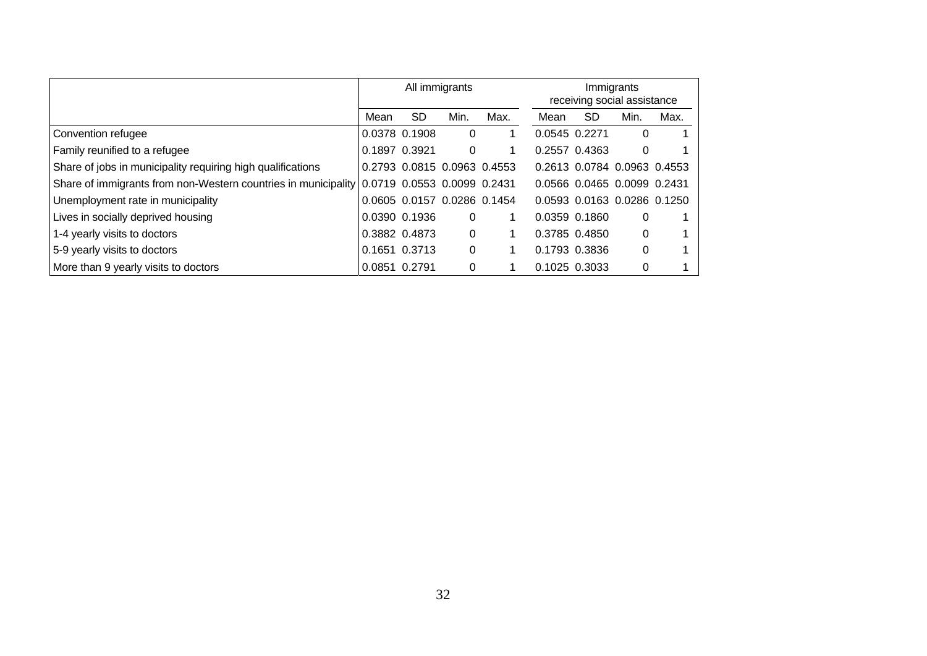|                                                                                            |               |                             | All immigrants |      | Immigrants<br>receiving social assistance |                             |      |      |  |
|--------------------------------------------------------------------------------------------|---------------|-----------------------------|----------------|------|-------------------------------------------|-----------------------------|------|------|--|
|                                                                                            | Mean          | SD.                         | Min.           | Max. | Mean                                      | <b>SD</b>                   | Min. | Max. |  |
| Convention refugee                                                                         |               | 0.0378 0.1908               | 0              |      | 0.0545 0.2271                             |                             | 0    |      |  |
| Family reunified to a refugee                                                              | 0.1897 0.3921 |                             | 0              |      |                                           | 0.2557 0.4363               | 0    |      |  |
| Share of jobs in municipality requiring high qualifications                                |               | 0.2793 0.0815 0.0963 0.4553 |                |      |                                           | 0.2613 0.0784 0.0963 0.4553 |      |      |  |
| Share of immigrants from non-Western countries in municipality 0.0719 0.0553 0.0099 0.2431 |               |                             |                |      |                                           | 0.0566 0.0465 0.0099 0.2431 |      |      |  |
| Unemployment rate in municipality                                                          |               | 0.0605 0.0157 0.0286 0.1454 |                |      |                                           | 0.0593 0.0163 0.0286 0.1250 |      |      |  |
| Lives in socially deprived housing                                                         |               | 0.0390 0.1936               | 0              |      |                                           | 0.0359 0.1860               | 0    |      |  |
| 1-4 yearly visits to doctors                                                               |               | 0.3882 0.4873               | $\Omega$       |      |                                           | 0.3785 0.4850               | 0    |      |  |
| 5-9 yearly visits to doctors                                                               |               | 0.1651 0.3713               | 0              |      |                                           | 0.1793 0.3836               | 0    |      |  |
| More than 9 yearly visits to doctors                                                       | 0.0851 0.2791 |                             | 0              |      |                                           | 0.1025 0.3033               | 0    |      |  |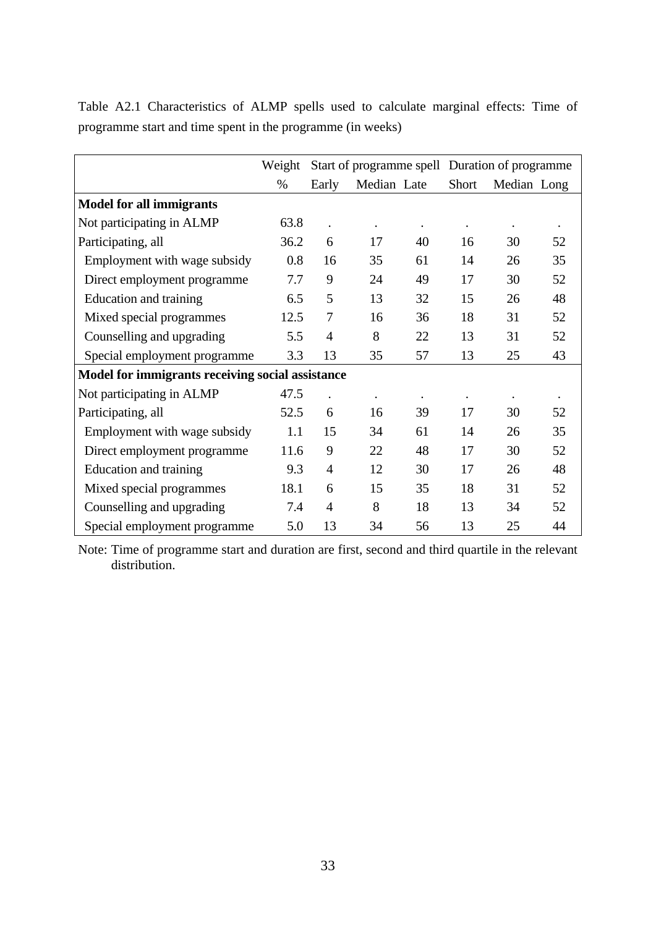|                                                  | Weight |                |                      |    |       | Start of programme spell Duration of programme |           |  |  |  |
|--------------------------------------------------|--------|----------------|----------------------|----|-------|------------------------------------------------|-----------|--|--|--|
|                                                  | %      | Early          | Median Late          |    | Short | Median Long                                    |           |  |  |  |
| <b>Model for all immigrants</b>                  |        |                |                      |    |       |                                                |           |  |  |  |
| Not participating in ALMP                        | 63.8   |                |                      |    |       |                                                | $\bullet$ |  |  |  |
| Participating, all                               | 36.2   | 6              | 17                   | 40 | 16    | 30                                             | 52        |  |  |  |
| Employment with wage subsidy                     | 0.8    | 16             | 35                   | 61 | 14    | 26                                             | 35        |  |  |  |
| Direct employment programme                      | 7.7    | 9              | 24                   | 49 | 17    | 30                                             | 52        |  |  |  |
| <b>Education</b> and training                    | 6.5    | 5              | 13                   | 32 | 15    | 26                                             | 48        |  |  |  |
| Mixed special programmes                         | 12.5   | 7              | 16                   | 36 | 18    | 31                                             | 52        |  |  |  |
| Counselling and upgrading                        | 5.5    | $\overline{4}$ | 8                    | 22 | 13    | 31                                             | 52        |  |  |  |
| Special employment programme                     | 3.3    | 13             | 35                   | 57 | 13    | 25                                             | 43        |  |  |  |
| Model for immigrants receiving social assistance |        |                |                      |    |       |                                                |           |  |  |  |
| Not participating in ALMP                        | 47.5   |                | $\ddot{\phantom{0}}$ |    |       |                                                |           |  |  |  |
| Participating, all                               | 52.5   | 6              | 16                   | 39 | 17    | 30                                             | 52        |  |  |  |
| Employment with wage subsidy                     | 1.1    | 15             | 34                   | 61 | 14    | 26                                             | 35        |  |  |  |
| Direct employment programme                      | 11.6   | 9              | 22                   | 48 | 17    | 30                                             | 52        |  |  |  |
| Education and training                           | 9.3    | $\overline{4}$ | 12                   | 30 | 17    | 26                                             | 48        |  |  |  |
| Mixed special programmes                         | 18.1   | 6              | 15                   | 35 | 18    | 31                                             | 52        |  |  |  |
| Counselling and upgrading                        | 7.4    | 4              | 8                    | 18 | 13    | 34                                             | 52        |  |  |  |
| Special employment programme                     | 5.0    | 13             | 34                   | 56 | 13    | 25                                             | 44        |  |  |  |

Table A2.1 Characteristics of ALMP spells used to calculate marginal effects: Time of programme start and time spent in the programme (in weeks)

Note: Time of programme start and duration are first, second and third quartile in the relevant distribution.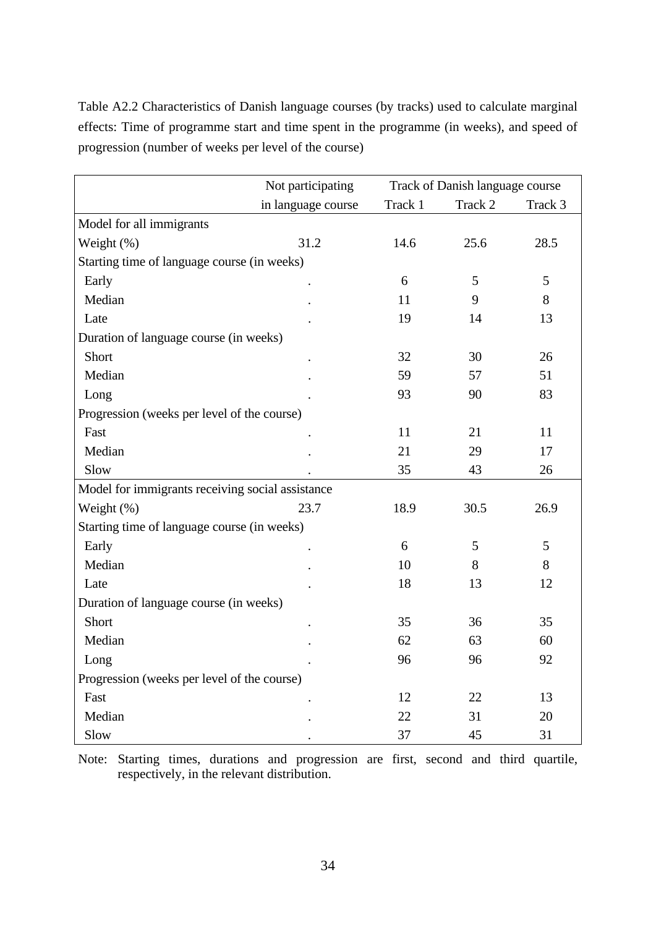Table A2.2 Characteristics of Danish language courses (by tracks) used to calculate marginal effects: Time of programme start and time spent in the programme (in weeks), and speed of progression (number of weeks per level of the course)

|                                                  | Not participating  |         | Track of Danish language course |         |
|--------------------------------------------------|--------------------|---------|---------------------------------|---------|
|                                                  | in language course | Track 1 | Track 2                         | Track 3 |
| Model for all immigrants                         |                    |         |                                 |         |
| Weight (%)                                       | 31.2               | 14.6    | 25.6                            | 28.5    |
| Starting time of language course (in weeks)      |                    |         |                                 |         |
| Early                                            |                    | 6       | 5                               | 5       |
| Median                                           |                    | 11      | 9                               | 8       |
| Late                                             |                    | 19      | 14                              | 13      |
| Duration of language course (in weeks)           |                    |         |                                 |         |
| Short                                            |                    | 32      | 30                              | 26      |
| Median                                           |                    | 59      | 57                              | 51      |
| Long                                             |                    | 93      | 90                              | 83      |
| Progression (weeks per level of the course)      |                    |         |                                 |         |
| Fast                                             |                    | 11      | 21                              | 11      |
| Median                                           |                    | 21      | 29                              | 17      |
| Slow                                             |                    | 35      | 43                              | 26      |
| Model for immigrants receiving social assistance |                    |         |                                 |         |
| Weight (%)                                       | 23.7               | 18.9    | 30.5                            | 26.9    |
| Starting time of language course (in weeks)      |                    |         |                                 |         |
| Early                                            |                    | 6       | 5                               | 5       |
| Median                                           |                    | 10      | 8                               | 8       |
| Late                                             |                    | 18      | 13                              | 12      |
| Duration of language course (in weeks)           |                    |         |                                 |         |
| Short                                            |                    | 35      | 36                              | 35      |
| Median                                           |                    | 62      | 63                              | 60      |
| Long                                             |                    | 96      | 96                              | 92      |
| Progression (weeks per level of the course)      |                    |         |                                 |         |
| Fast                                             |                    | 12      | 22                              | 13      |
| Median                                           |                    | 22      | 31                              | 20      |
| Slow                                             |                    | 37      | 45                              | 31      |

Note: Starting times, durations and progression are first, second and third quartile, respectively, in the relevant distribution.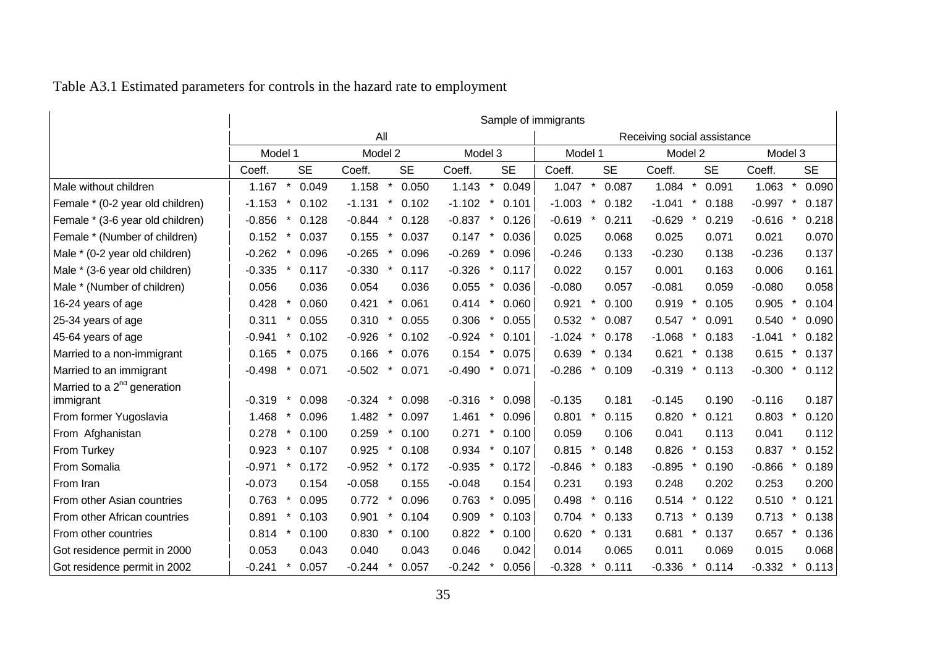|                                                      | Sample of immigrants         |                               |                               |                             |                                |                              |  |  |  |  |  |  |  |  |
|------------------------------------------------------|------------------------------|-------------------------------|-------------------------------|-----------------------------|--------------------------------|------------------------------|--|--|--|--|--|--|--|--|
|                                                      |                              | All                           |                               |                             | Receiving social assistance    |                              |  |  |  |  |  |  |  |  |
|                                                      | Model 1                      | Model 2                       | Model 3                       | Model 1                     | Model 2                        | Model 3                      |  |  |  |  |  |  |  |  |
|                                                      | <b>SE</b><br>Coeff.          | <b>SE</b><br>Coeff.           | <b>SE</b><br>Coeff.           | <b>SE</b><br>Coeff.         | <b>SE</b><br>Coeff.            | Coeff.<br><b>SE</b>          |  |  |  |  |  |  |  |  |
| Male without children                                | 1.167<br>$\star$<br>0.049    | $\star$<br>1.158<br>0.050     | 1.143<br>$\star$<br>0.049     | $\star$<br>1.047<br>0.087   | 1.084<br>$\pmb{\ast}$<br>0.091 | $\star$<br>1.063<br>0.090    |  |  |  |  |  |  |  |  |
| Female * (0-2 year old children)                     | $-1.153$<br>$\ast$<br>0.102  | $-1.131$<br>$\star$<br>0.102  | $-1.102$<br>$\star$<br>0.101  | $-1.003$<br>0.182           | $\star$<br>$-1.041$<br>0.188   | $\star$<br>$-0.997$<br>0.187 |  |  |  |  |  |  |  |  |
| Female * (3-6 year old children)                     | $-0.856$<br>0.128            | $-0.844$<br>$\ast$<br>0.128   | $-0.837$<br>$^\star$<br>0.126 | $-0.619$<br>0.211           | $-0.629$<br>0.219<br>$\ast$    | $-0.616$<br>0.218            |  |  |  |  |  |  |  |  |
| Female * (Number of children)                        | 0.152<br>0.037               | 0.155<br>$\star$<br>0.037     | 0.147<br>0.036                | 0.025<br>0.068              | 0.025<br>0.071                 | 0.021<br>0.070               |  |  |  |  |  |  |  |  |
| Male * (0-2 year old children)                       | $-0.262$<br>0.096            | $\ast$<br>$-0.265$<br>0.096   | $-0.269$<br>0.096             | $-0.246$<br>0.133           | $-0.230$<br>0.138              | $-0.236$<br>0.137            |  |  |  |  |  |  |  |  |
| Male * (3-6 year old children)                       | $-0.335$<br>0.117            | $-0.330$<br>0.117             | $-0.326$<br>0.117             | 0.022<br>0.157              | 0.001<br>0.163                 | 0.006<br>0.161               |  |  |  |  |  |  |  |  |
| Male * (Number of children)                          | 0.056<br>0.036               | 0.054<br>0.036                | 0.055<br>0.036                | $-0.080$<br>0.057           | $-0.081$<br>0.059              | $-0.080$<br>0.058            |  |  |  |  |  |  |  |  |
| 16-24 years of age                                   | 0.428<br>0.060               | 0.421<br>$\star$<br>0.061     | $\ast$<br>0.414<br>0.060      | 0.921<br>0.100              | 0.919<br>$\ast$<br>0.105       | 0.905<br>0.104               |  |  |  |  |  |  |  |  |
| 25-34 years of age                                   | 0.311<br>0.055<br>$\ast$     | 0.310<br>0.055<br>$\ast$      | 0.306<br>0.055                | 0.532<br>0.087<br>$\star$   | 0.547<br>0.091<br>$\ast$       | 0.540<br>0.090<br>$\ast$     |  |  |  |  |  |  |  |  |
| 45-64 years of age                                   | $-0.941$<br>0.102            | $-0.926$<br>0.102             | $-0.924$<br>0.101             | $-1.024$<br>0.178           | $-1.068$<br>0.183              | $-1.041$<br>0.182            |  |  |  |  |  |  |  |  |
| Married to a non-immigrant                           | 0.165<br>0.075               | 0.166<br>0.076                | 0.154<br>$\ast$<br>0.075      | 0.639<br>0.134              | 0.621<br>0.138                 | 0.615<br>$\ast$<br>0.137     |  |  |  |  |  |  |  |  |
| Married to an immigrant                              | $-0.498$<br>$\star$<br>0.071 | $-0.502$<br>$\star$<br>0.071  | $-0.490$<br>0.071<br>$\ast$   | $-0.286$<br>$\ast$<br>0.109 | $-0.319$<br>$\ast$<br>0.113    | $-0.300$<br>$\ast$<br>0.112  |  |  |  |  |  |  |  |  |
| Married to a 2 <sup>nd</sup> generation<br>immigrant | $-0.319$<br>0.098            | $-0.324$<br>$^\star$<br>0.098 | $-0.316$<br>0.098             | $-0.135$<br>0.181           | $-0.145$<br>0.190              | $-0.116$<br>0.187            |  |  |  |  |  |  |  |  |
| From former Yugoslavia                               | 1.468<br>0.096               | 1.482<br>0.097                | 1.461<br>*<br>0.096           | 0.801<br>0.115              | 0.820<br>0.121                 | 0.803<br>0.120               |  |  |  |  |  |  |  |  |
| From Afghanistan                                     | 0.100<br>0.278<br>$\star$    | 0.259<br>$\star$<br>0.100     | 0.271<br>$\star$<br>0.100     | 0.059<br>0.106              | 0.041<br>0.113                 | 0.041<br>0.112               |  |  |  |  |  |  |  |  |
| From Turkey                                          | 0.107<br>0.923               | 0.925<br>0.108                | 0.934<br>0.107                | 0.815<br>0.148              | 0.826<br>0.153                 | 0.837<br>0.152               |  |  |  |  |  |  |  |  |
| From Somalia                                         | $-0.971$<br>0.172            | $-0.952$<br>0.172             | $-0.935$<br>0.172             | $-0.846$<br>0.183           | $-0.895$<br>0.190              | $-0.866$<br>0.189            |  |  |  |  |  |  |  |  |
| From Iran                                            | $-0.073$<br>0.154            | $-0.058$<br>0.155             | $-0.048$<br>0.154             | 0.231<br>0.193              | 0.248<br>0.202                 | 0.253<br>0.200               |  |  |  |  |  |  |  |  |
| From other Asian countries                           | 0.095<br>0.763               | 0.772<br>0.096                | 0.763<br>0.095                | 0.498<br>0.116              | 0.514<br>$\ast$<br>0.122       | 0.510<br>0.121               |  |  |  |  |  |  |  |  |
| From other African countries                         | 0.891<br>0.103               | 0.901<br>0.104                | 0.909<br>0.103                | 0.704<br>0.133              | 0.713<br>0.139                 | 0.713<br>0.138               |  |  |  |  |  |  |  |  |
| From other countries                                 | 0.814<br>0.100<br>$\ast$     | 0.830<br>0.100                | 0.822<br>0.100                | 0.620<br>0.131              | 0.681<br>0.137                 | 0.657<br>0.136               |  |  |  |  |  |  |  |  |
| Got residence permit in 2000                         | 0.053<br>0.043               | 0.040<br>0.043                | 0.046<br>0.042                | 0.014<br>0.065              | 0.011<br>0.069                 | 0.015<br>0.068               |  |  |  |  |  |  |  |  |
| Got residence permit in 2002                         | 0.057<br>$-0.241$            | $-0.244$<br>0.057             | $-0.242$<br>0.056             | $-0.328$<br>0.111           | $-0.336$<br>0.114              | $-0.332$<br>0.113            |  |  |  |  |  |  |  |  |

## Table A3.1 Estimated parameters for controls in the hazard rate to employment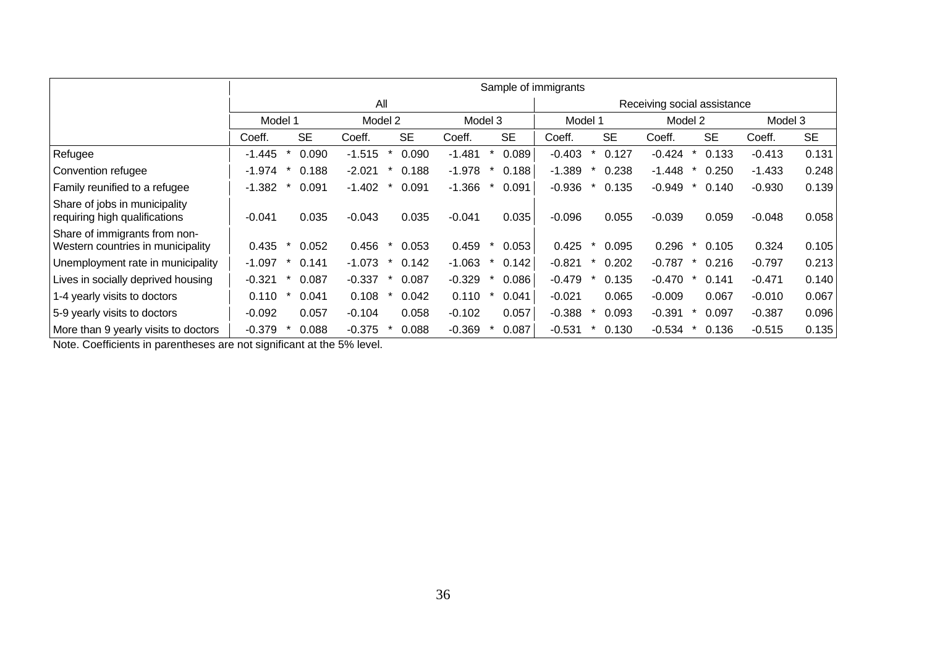|                                                                    |          | Sample of immigrants |           |          |         |           |          |        |           |          |        |           |                             |   |           |          |           |  |  |  |
|--------------------------------------------------------------------|----------|----------------------|-----------|----------|---------|-----------|----------|--------|-----------|----------|--------|-----------|-----------------------------|---|-----------|----------|-----------|--|--|--|
|                                                                    |          | All                  |           |          |         |           |          |        |           |          |        |           | Receiving social assistance |   |           |          |           |  |  |  |
|                                                                    |          | Model 1              |           |          | Model 2 |           | Model 3  |        |           | Model 1  |        |           | Model 2                     |   | Model 3   |          |           |  |  |  |
|                                                                    | Coeff.   |                      | <b>SE</b> | Coeff.   |         | <b>SE</b> | Coeff.   |        | <b>SE</b> | Coeff.   |        | <b>SE</b> | Coeff.                      |   | <b>SE</b> | Coeff.   | <b>SE</b> |  |  |  |
| Refugee                                                            | $-1.445$ | *                    | 0.090     | $-1.515$ | $\star$ | 0.090     | $-1.481$ |        | 0.089     | $-0.403$ | $\ast$ | 0.127     | $-0.424$                    | * | 0.133     | $-0.413$ | 0.131     |  |  |  |
| Convention refugee                                                 | $-1.974$ |                      | 0.188     | $-2.021$ |         | 0.188     | $-1.978$ |        | 0.188     | $-1.389$ |        | 0.238     | $-1.448$                    |   | 0.250     | $-1.433$ | 0.248     |  |  |  |
| Family reunified to a refugee                                      | -1.382   |                      | 0.091     | $-1.402$ |         | 0.091     | $-1.366$ |        | 0.091     | $-0.936$ |        | 0.135     | $-0.949$                    |   | 0.140     | $-0.930$ | 0.139     |  |  |  |
| Share of jobs in municipality<br>requiring high qualifications     | $-0.041$ |                      | 0.035     | $-0.043$ |         | 0.035     | $-0.041$ |        | 0.035     | $-0.096$ |        | 0.055     | $-0.039$                    |   | 0.059     | $-0.048$ | 0.058     |  |  |  |
| Share of immigrants from non-<br>Western countries in municipality | 0.435    |                      | 0.052     | 0.456    | $\star$ | 0.053     | 0.459    |        | 0.053     | 0.425    | $\ast$ | 0.095     | 0.296                       |   | 0.105     | 0.324    | 0.105     |  |  |  |
| Unemployment rate in municipality                                  | $-1.097$ |                      | 0.141     | -1.073   |         | 0.142     | $-1.063$ | $\ast$ | 0.142     | $-0.821$ |        | 0.202     | $-0.787$                    |   | 0.216     | $-0.797$ | 0.213     |  |  |  |
| Lives in socially deprived housing                                 | $-0.321$ |                      | 0.087     | $-0.337$ |         | 0.087     | $-0.329$ |        | 0.086     | $-0.479$ |        | 0.135     | -0.470                      |   | 0.141     | $-0.471$ | 0.140     |  |  |  |
| 1-4 yearly visits to doctors                                       | 0.110    |                      | 0.041     | 0.108    |         | 0.042     | 0.110    |        | 0.041     | $-0.021$ |        | 0.065     | $-0.009$                    |   | 0.067     | $-0.010$ | 0.067     |  |  |  |
| 5-9 yearly visits to doctors                                       | $-0.092$ |                      | 0.057     | $-0.104$ |         | 0.058     | $-0.102$ |        | 0.057     | $-0.388$ |        | 0.093     | $-0.391$                    |   | 0.097     | $-0.387$ | 0.096     |  |  |  |
| More than 9 yearly visits to doctors                               | $-0.379$ |                      | 0.088     | $-0.375$ |         | 0.088     | $-0.369$ |        | 0.087     | $-0.531$ |        | 0.130     | $-0.534$                    |   | 0.136     | $-0.515$ | 0.135     |  |  |  |

Note. Coefficients in parentheses are not significant at the 5% level.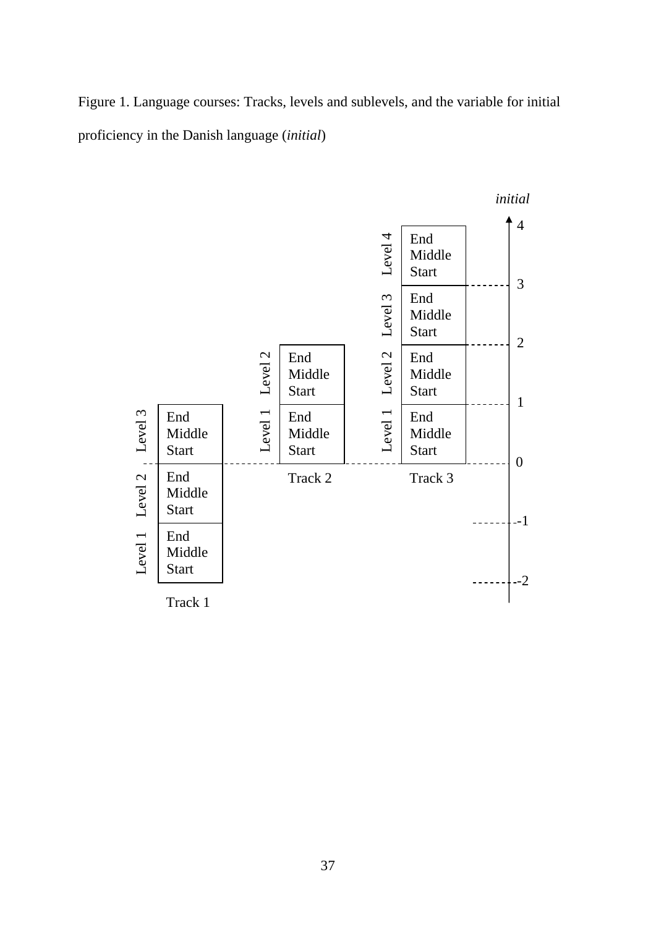Figure 1. Language courses: Tracks, levels and sublevels, and the variable for initial proficiency in the Danish language (*initial*)